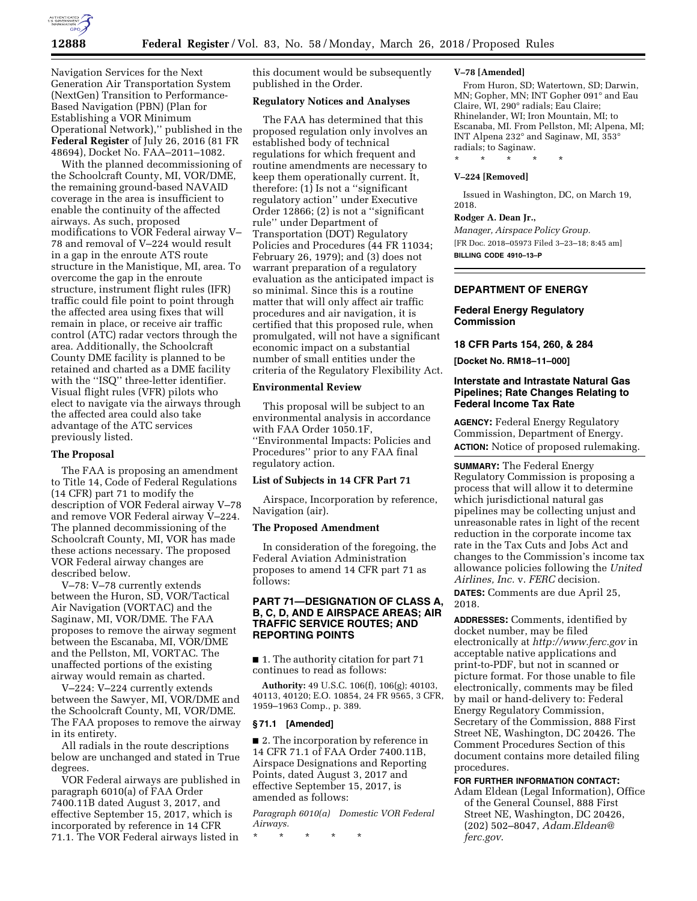

Navigation Services for the Next Generation Air Transportation System (NextGen) Transition to Performance-Based Navigation (PBN) (Plan for Establishing a VOR Minimum Operational Network),'' published in the **Federal Register** of July 26, 2016 (81 FR 48694), Docket No. FAA–2011–1082.

With the planned decommissioning of the Schoolcraft County, MI, VOR/DME, the remaining ground-based NAVAID coverage in the area is insufficient to enable the continuity of the affected airways. As such, proposed modifications to VOR Federal airway V– 78 and removal of V–224 would result in a gap in the enroute ATS route structure in the Manistique, MI, area. To overcome the gap in the enroute structure, instrument flight rules (IFR) traffic could file point to point through the affected area using fixes that will remain in place, or receive air traffic control (ATC) radar vectors through the area. Additionally, the Schoolcraft County DME facility is planned to be retained and charted as a DME facility with the ''ISQ'' three-letter identifier. Visual flight rules (VFR) pilots who elect to navigate via the airways through the affected area could also take advantage of the ATC services previously listed.

## **The Proposal**

The FAA is proposing an amendment to Title 14, Code of Federal Regulations (14 CFR) part 71 to modify the description of VOR Federal airway V–78 and remove VOR Federal airway V–224. The planned decommissioning of the Schoolcraft County, MI, VOR has made these actions necessary. The proposed VOR Federal airway changes are described below.

V–78: V–78 currently extends between the Huron, SD, VOR/Tactical Air Navigation (VORTAC) and the Saginaw, MI, VOR/DME. The FAA proposes to remove the airway segment between the Escanaba, MI, VOR/DME and the Pellston, MI, VORTAC. The unaffected portions of the existing airway would remain as charted.

V–224: V–224 currently extends between the Sawyer, MI, VOR/DME and the Schoolcraft County, MI, VOR/DME. The FAA proposes to remove the airway in its entirety.

All radials in the route descriptions below are unchanged and stated in True degrees.

VOR Federal airways are published in paragraph 6010(a) of FAA Order 7400.11B dated August 3, 2017, and effective September 15, 2017, which is incorporated by reference in 14 CFR 71.1. The VOR Federal airways listed in

this document would be subsequently published in the Order.

# **Regulatory Notices and Analyses**

The FAA has determined that this proposed regulation only involves an established body of technical regulations for which frequent and routine amendments are necessary to keep them operationally current. It, therefore: (1) Is not a ''significant regulatory action'' under Executive Order 12866; (2) is not a ''significant rule'' under Department of Transportation (DOT) Regulatory Policies and Procedures (44 FR 11034; February 26, 1979); and (3) does not warrant preparation of a regulatory evaluation as the anticipated impact is so minimal. Since this is a routine matter that will only affect air traffic procedures and air navigation, it is certified that this proposed rule, when promulgated, will not have a significant economic impact on a substantial number of small entities under the criteria of the Regulatory Flexibility Act.

# **Environmental Review**

This proposal will be subject to an environmental analysis in accordance with FAA Order 1050.1F, ''Environmental Impacts: Policies and Procedures'' prior to any FAA final regulatory action.

# **List of Subjects in 14 CFR Part 71**

Airspace, Incorporation by reference, Navigation (air).

## **The Proposed Amendment**

In consideration of the foregoing, the Federal Aviation Administration proposes to amend 14 CFR part 71 as follows:

# **PART 71—DESIGNATION OF CLASS A, B, C, D, AND E AIRSPACE AREAS; AIR TRAFFIC SERVICE ROUTES; AND REPORTING POINTS**

■ 1. The authority citation for part 71 continues to read as follows:

**Authority:** 49 U.S.C. 106(f), 106(g); 40103, 40113, 40120; E.O. 10854, 24 FR 9565, 3 CFR, 1959–1963 Comp., p. 389.

## **§ 71.1 [Amended]**

■ 2. The incorporation by reference in 14 CFR 71.1 of FAA Order 7400.11B, Airspace Designations and Reporting Points, dated August 3, 2017 and effective September 15, 2017, is amended as follows:

*Paragraph 6010(a) Domestic VOR Federal Airways.* 

\* \* \* \* \*

### **V–78 [Amended]**

From Huron, SD; Watertown, SD; Darwin, MN; Gopher, MN; INT Gopher 091° and Eau Claire, WI, 290° radials; Eau Claire; Rhinelander, WI; Iron Mountain, MI; to Escanaba, MI. From Pellston, MI; Alpena, MI; INT Alpena 232° and Saginaw, MI, 353° radials; to Saginaw.

\* \* \* \* \*

# **V–224 [Removed]**

Issued in Washington, DC, on March 19, 2018.

### **Rodger A. Dean Jr.,**

*Manager, Airspace Policy Group.*  [FR Doc. 2018–05973 Filed 3–23–18; 8:45 am] **BILLING CODE 4910–13–P** 

# **DEPARTMENT OF ENERGY**

# **Federal Energy Regulatory Commission**

## **18 CFR Parts 154, 260, & 284**

**[Docket No. RM18–11–000]** 

# **Interstate and Intrastate Natural Gas Pipelines; Rate Changes Relating to Federal Income Tax Rate**

**AGENCY:** Federal Energy Regulatory Commission, Department of Energy. **ACTION:** Notice of proposed rulemaking.

**SUMMARY:** The Federal Energy Regulatory Commission is proposing a process that will allow it to determine which jurisdictional natural gas pipelines may be collecting unjust and unreasonable rates in light of the recent reduction in the corporate income tax rate in the Tax Cuts and Jobs Act and changes to the Commission's income tax allowance policies following the *United Airlines, Inc.* v. *FERC* decision.

**DATES:** Comments are due April 25, 2018.

**ADDRESSES:** Comments, identified by docket number, may be filed electronically at *<http://www.ferc.gov>*in acceptable native applications and print-to-PDF, but not in scanned or picture format. For those unable to file electronically, comments may be filed by mail or hand-delivery to: Federal Energy Regulatory Commission, Secretary of the Commission, 888 First Street NE, Washington, DC 20426. The Comment Procedures Section of this document contains more detailed filing procedures.

### **FOR FURTHER INFORMATION CONTACT:**

Adam Eldean (Legal Information), Office of the General Counsel, 888 First Street NE, Washington, DC 20426, (202) 502–8047, *[Adam.Eldean@](mailto:Adam.Eldean@ferc.gov) [ferc.gov](mailto:Adam.Eldean@ferc.gov)*.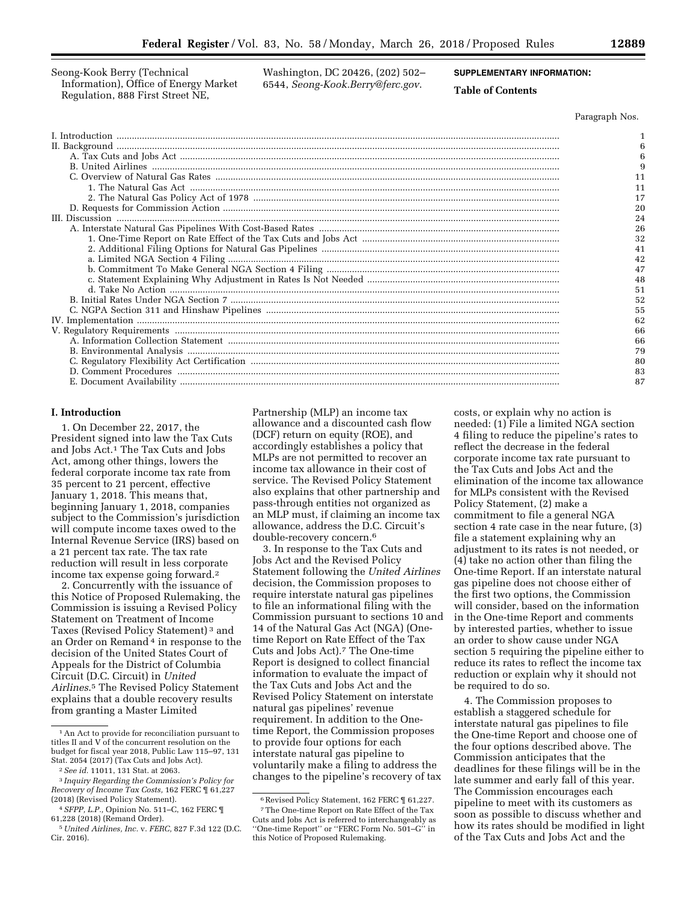Seong-Kook Berry (Technical Information), Office of Energy Market Regulation, 888 First Street NE,

Washington, DC 20426, (202) 502– 6544, *[Seong-Kook.Berry@ferc.gov](mailto:Seong-Kook.Berry@ferc.gov)*.

# **SUPPLEMENTARY INFORMATION:**

# **Table of Contents**

Paragraph Nos.

| 11 |
|----|
| 11 |
| 17 |
| 20 |
| 24 |
| 26 |
| 32 |
| 41 |
| 42 |
| 47 |
| 48 |
| 51 |
| 52 |
| 55 |
| 62 |
| 66 |
| 66 |
| 79 |
| 80 |
| 83 |
| 87 |

# **I. Introduction**

1. On December 22, 2017, the President signed into law the Tax Cuts and Jobs Act.1 The Tax Cuts and Jobs Act, among other things, lowers the federal corporate income tax rate from 35 percent to 21 percent, effective January 1, 2018. This means that, beginning January 1, 2018, companies subject to the Commission's jurisdiction will compute income taxes owed to the Internal Revenue Service (IRS) based on a 21 percent tax rate. The tax rate reduction will result in less corporate income tax expense going forward.2

2. Concurrently with the issuance of this Notice of Proposed Rulemaking, the Commission is issuing a Revised Policy Statement on Treatment of Income Taxes (Revised Policy Statement) 3 and an Order on Remand 4 in response to the decision of the United States Court of Appeals for the District of Columbia Circuit (D.C. Circuit) in *United Airlines*.5 The Revised Policy Statement explains that a double recovery results from granting a Master Limited

Partnership (MLP) an income tax allowance and a discounted cash flow (DCF) return on equity (ROE), and accordingly establishes a policy that MLPs are not permitted to recover an income tax allowance in their cost of service. The Revised Policy Statement also explains that other partnership and pass-through entities not organized as an MLP must, if claiming an income tax allowance, address the D.C. Circuit's double-recovery concern.6

3. In response to the Tax Cuts and Jobs Act and the Revised Policy Statement following the *United Airlines*  decision, the Commission proposes to require interstate natural gas pipelines to file an informational filing with the Commission pursuant to sections 10 and 14 of the Natural Gas Act (NGA) (Onetime Report on Rate Effect of the Tax Cuts and Jobs Act).7 The One-time Report is designed to collect financial information to evaluate the impact of the Tax Cuts and Jobs Act and the Revised Policy Statement on interstate natural gas pipelines' revenue requirement. In addition to the Onetime Report, the Commission proposes to provide four options for each interstate natural gas pipeline to voluntarily make a filing to address the changes to the pipeline's recovery of tax

costs, or explain why no action is needed: (1) File a limited NGA section 4 filing to reduce the pipeline's rates to reflect the decrease in the federal corporate income tax rate pursuant to the Tax Cuts and Jobs Act and the elimination of the income tax allowance for MLPs consistent with the Revised Policy Statement, (2) make a commitment to file a general NGA section 4 rate case in the near future, (3) file a statement explaining why an adjustment to its rates is not needed, or (4) take no action other than filing the One-time Report. If an interstate natural gas pipeline does not choose either of the first two options, the Commission will consider, based on the information in the One-time Report and comments by interested parties, whether to issue an order to show cause under NGA section 5 requiring the pipeline either to reduce its rates to reflect the income tax reduction or explain why it should not be required to do so.

4. The Commission proposes to establish a staggered schedule for interstate natural gas pipelines to file the One-time Report and choose one of the four options described above. The Commission anticipates that the deadlines for these filings will be in the late summer and early fall of this year. The Commission encourages each pipeline to meet with its customers as soon as possible to discuss whether and how its rates should be modified in light of the Tax Cuts and Jobs Act and the

<sup>1</sup>An Act to provide for reconciliation pursuant to titles II and V of the concurrent resolution on the budget for fiscal year 2018, Public Law 115–97, 131 Stat. 2054 (2017) (Tax Cuts and Jobs Act).

<sup>2</sup>*See id.* 11011, 131 Stat. at 2063.

<sup>3</sup> *Inquiry Regarding the Commission's Policy for Recovery of Income Tax Costs, 162 FERC* 161,227 (2018) (Revised Policy Statement).

<sup>4</sup>*SFPP, L.P.,* Opinion No. 511–C, 162 FERC ¶ 61,228 (2018) (Remand Order).

<sup>5</sup>*United Airlines, Inc.* v. *FERC,* 827 F.3d 122 (D.C. Cir. 2016).

 $^6$  Revised Policy Statement, 162 FERC  $\rm I\!I$  61,227.

<sup>7</sup>The One-time Report on Rate Effect of the Tax Cuts and Jobs Act is referred to interchangeably as ''One-time Report'' or ''FERC Form No. 501–G'' in this Notice of Proposed Rulemaking.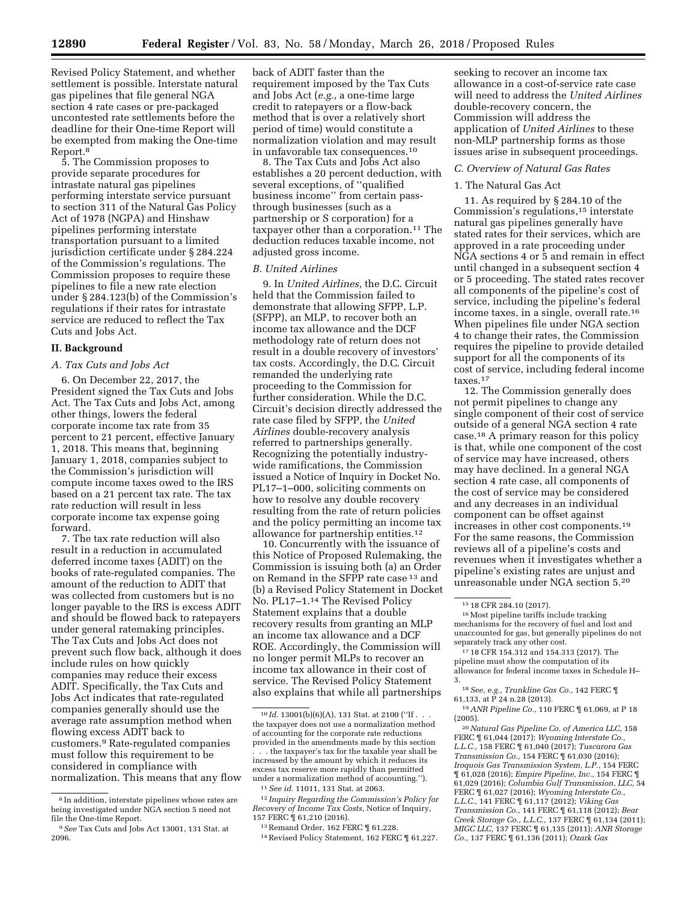Revised Policy Statement, and whether settlement is possible. Interstate natural gas pipelines that file general NGA section 4 rate cases or pre-packaged uncontested rate settlements before the deadline for their One-time Report will be exempted from making the One-time Report.8

5. The Commission proposes to provide separate procedures for intrastate natural gas pipelines performing interstate service pursuant to section 311 of the Natural Gas Policy Act of 1978 (NGPA) and Hinshaw pipelines performing interstate transportation pursuant to a limited jurisdiction certificate under § 284.224 of the Commission's regulations. The Commission proposes to require these pipelines to file a new rate election under § 284.123(b) of the Commission's regulations if their rates for intrastate service are reduced to reflect the Tax Cuts and Jobs Act.

### **II. Background**

#### *A. Tax Cuts and Jobs Act*

6. On December 22, 2017, the President signed the Tax Cuts and Jobs Act. The Tax Cuts and Jobs Act, among other things, lowers the federal corporate income tax rate from 35 percent to 21 percent, effective January 1, 2018. This means that, beginning January 1, 2018, companies subject to the Commission's jurisdiction will compute income taxes owed to the IRS based on a 21 percent tax rate. The tax rate reduction will result in less corporate income tax expense going forward.

7. The tax rate reduction will also result in a reduction in accumulated deferred income taxes (ADIT) on the books of rate-regulated companies. The amount of the reduction to ADIT that was collected from customers but is no longer payable to the IRS is excess ADIT and should be flowed back to ratepayers under general ratemaking principles. The Tax Cuts and Jobs Act does not prevent such flow back, although it does include rules on how quickly companies may reduce their excess ADIT. Specifically, the Tax Cuts and Jobs Act indicates that rate-regulated companies generally should use the average rate assumption method when flowing excess ADIT back to customers.9 Rate-regulated companies must follow this requirement to be considered in compliance with normalization. This means that any flow back of ADIT faster than the requirement imposed by the Tax Cuts and Jobs Act (*e.g.,* a one-time large credit to ratepayers or a flow-back method that is over a relatively short period of time) would constitute a normalization violation and may result in unfavorable tax consequences.10

8. The Tax Cuts and Jobs Act also establishes a 20 percent deduction, with several exceptions, of ''qualified business income'' from certain passthrough businesses (such as a partnership or S corporation) for a taxpayer other than a corporation.11 The deduction reduces taxable income, not adjusted gross income.

### *B. United Airlines*

9. In *United Airlines,* the D.C. Circuit held that the Commission failed to demonstrate that allowing SFPP, L.P. (SFPP), an MLP, to recover both an income tax allowance and the DCF methodology rate of return does not result in a double recovery of investors' tax costs. Accordingly, the D.C. Circuit remanded the underlying rate proceeding to the Commission for further consideration. While the D.C. Circuit's decision directly addressed the rate case filed by SFPP, the *United Airlines* double-recovery analysis referred to partnerships generally. Recognizing the potentially industrywide ramifications, the Commission issued a Notice of Inquiry in Docket No. PL17–1–000, soliciting comments on how to resolve any double recovery resulting from the rate of return policies and the policy permitting an income tax allowance for partnership entities.12

10. Concurrently with the issuance of this Notice of Proposed Rulemaking, the Commission is issuing both (a) an Order on Remand in the SFPP rate case 13 and (b) a Revised Policy Statement in Docket No. PL17–1.14 The Revised Policy Statement explains that a double recovery results from granting an MLP an income tax allowance and a DCF ROE. Accordingly, the Commission will no longer permit MLPs to recover an income tax allowance in their cost of service. The Revised Policy Statement also explains that while all partnerships

14Revised Policy Statement, 162 FERC ¶ 61,227.

seeking to recover an income tax allowance in a cost-of-service rate case will need to address the *United Airlines*  double-recovery concern, the Commission will address the application of *United Airlines* to these non-MLP partnership forms as those issues arise in subsequent proceedings.

## *C. Overview of Natural Gas Rates*

## 1. The Natural Gas Act

11. As required by § 284.10 of the Commission's regulations,15 interstate natural gas pipelines generally have stated rates for their services, which are approved in a rate proceeding under NGA sections 4 or 5 and remain in effect until changed in a subsequent section 4 or 5 proceeding. The stated rates recover all components of the pipeline's cost of service, including the pipeline's federal income taxes, in a single, overall rate.16 When pipelines file under NGA section 4 to change their rates, the Commission requires the pipeline to provide detailed support for all the components of its cost of service, including federal income taxes.17

12. The Commission generally does not permit pipelines to change any single component of their cost of service outside of a general NGA section 4 rate case.18 A primary reason for this policy is that, while one component of the cost of service may have increased, others may have declined. In a general NGA section 4 rate case, all components of the cost of service may be considered and any decreases in an individual component can be offset against increases in other cost components.19 For the same reasons, the Commission reviews all of a pipeline's costs and revenues when it investigates whether a pipeline's existing rates are unjust and unreasonable under NGA section 5.20

17 18 CFR 154.312 and 154.313 (2017). The pipeline must show the computation of its allowance for federal income taxes in Schedule H– 3.

18*See, e.g., Trunkline Gas Co.,* 142 FERC ¶ 61,133, at P 24 n.28 (2013).

20*Natural Gas Pipeline Co. of America LLC,* 158 FERC ¶ 61,044 (2017); *Wyoming Interstate Co., L.L.C.,* 158 FERC ¶ 61,040 (2017); *Tuscarora Gas Transmission Co.,* 154 FERC ¶ 61,030 (2016); *Iroquois Gas Transmission System, L.P.,* 154 FERC ¶ 61,028 (2016); *Empire Pipeline, Inc.,* 154 FERC ¶ 61,029 (2016); *Columbia Gulf Transmission, LLC,* 54 FERC ¶ 61,027 (2016); *Wyoming Interstate Co., L.L.C.,* 141 FERC ¶ 61,117 (2012); *Viking Gas Transmission Co.,* 141 FERC ¶ 61,118 (2012); *Bear Creek Storage Co., L.L.C.,* 137 FERC ¶ 61,134 (2011); *MIGC LLC,* 137 FERC ¶ 61,135 (2011); *ANR Storage Co.,* 137 FERC ¶ 61,136 (2011); *Ozark Gas* 

<sup>8</sup> In addition, interstate pipelines whose rates are being investigated under NGA section 5 need not file the One-time Report.

<sup>9</sup>*See* Tax Cuts and Jobs Act 13001, 131 Stat. at 2096.

<sup>10</sup> *Id.* 13001(b)(6)(A), 131 Stat. at 2100 (''If . . . the taxpayer does not use a normalization method of accounting for the corporate rate reductions provided in the amendments made by this section . . . the taxpayer's tax for the taxable year shall be increased by the amount by which it reduces its excess tax reserve more rapidly than permitted under a normalization method of accounting.'').

<sup>11</sup>*See id.* 11011, 131 Stat. at 2063.

<sup>12</sup> *Inquiry Regarding the Commission's Policy for Recovery of Income Tax Costs,* Notice of Inquiry, 157 FERC ¶ 61,210 (2016).

<sup>13</sup>Remand Order, 162 FERC ¶ 61,228.

<sup>15</sup> 18 CFR 284.10 (2017).

<sup>16</sup>Most pipeline tariffs include tracking mechanisms for the recovery of fuel and lost and unaccounted for gas, but generally pipelines do not separately track any other cost.

<sup>19</sup>*ANR Pipeline Co.,* 110 FERC ¶ 61,069, at P 18 (2005).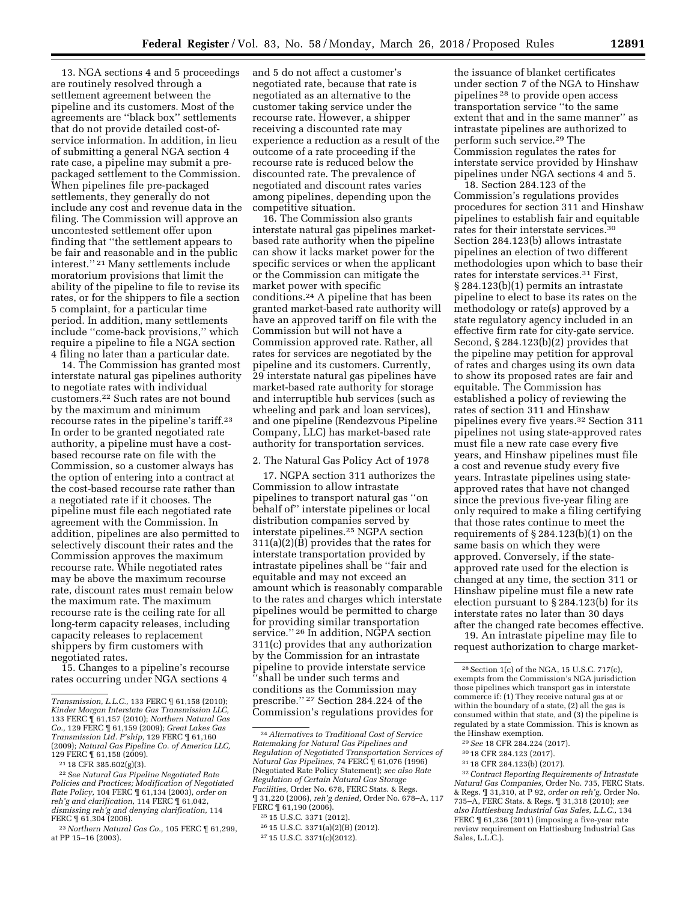13. NGA sections 4 and 5 proceedings are routinely resolved through a settlement agreement between the pipeline and its customers. Most of the agreements are ''black box'' settlements that do not provide detailed cost-ofservice information. In addition, in lieu of submitting a general NGA section 4 rate case, a pipeline may submit a prepackaged settlement to the Commission. When pipelines file pre-packaged settlements, they generally do not include any cost and revenue data in the filing. The Commission will approve an uncontested settlement offer upon finding that ''the settlement appears to be fair and reasonable and in the public interest.'' 21 Many settlements include moratorium provisions that limit the ability of the pipeline to file to revise its rates, or for the shippers to file a section 5 complaint, for a particular time period. In addition, many settlements include ''come-back provisions,'' which require a pipeline to file a NGA section 4 filing no later than a particular date.

14. The Commission has granted most interstate natural gas pipelines authority to negotiate rates with individual customers.22 Such rates are not bound by the maximum and minimum recourse rates in the pipeline's tariff.23 In order to be granted negotiated rate authority, a pipeline must have a costbased recourse rate on file with the Commission, so a customer always has the option of entering into a contract at the cost-based recourse rate rather than a negotiated rate if it chooses. The pipeline must file each negotiated rate agreement with the Commission. In addition, pipelines are also permitted to selectively discount their rates and the Commission approves the maximum recourse rate. While negotiated rates may be above the maximum recourse rate, discount rates must remain below the maximum rate. The maximum recourse rate is the ceiling rate for all long-term capacity releases, including capacity releases to replacement shippers by firm customers with negotiated rates.

15. Changes to a pipeline's recourse rates occurring under NGA sections 4

and 5 do not affect a customer's negotiated rate, because that rate is negotiated as an alternative to the customer taking service under the recourse rate. However, a shipper receiving a discounted rate may experience a reduction as a result of the outcome of a rate proceeding if the recourse rate is reduced below the discounted rate. The prevalence of negotiated and discount rates varies among pipelines, depending upon the competitive situation.

16. The Commission also grants interstate natural gas pipelines marketbased rate authority when the pipeline can show it lacks market power for the specific services or when the applicant or the Commission can mitigate the market power with specific conditions.24 A pipeline that has been granted market-based rate authority will have an approved tariff on file with the Commission but will not have a Commission approved rate. Rather, all rates for services are negotiated by the pipeline and its customers. Currently, 29 interstate natural gas pipelines have market-based rate authority for storage and interruptible hub services (such as wheeling and park and loan services), and one pipeline (Rendezvous Pipeline Company, LLC) has market-based rate authority for transportation services.

# 2. The Natural Gas Policy Act of 1978

17. NGPA section 311 authorizes the Commission to allow intrastate pipelines to transport natural gas ''on behalf of'' interstate pipelines or local distribution companies served by interstate pipelines.25 NGPA section 311(a)(2)(B) provides that the rates for interstate transportation provided by intrastate pipelines shall be ''fair and equitable and may not exceed an amount which is reasonably comparable to the rates and charges which interstate pipelines would be permitted to charge for providing similar transportation service.'' 26 In addition, NGPA section 311(c) provides that any authorization by the Commission for an intrastate pipeline to provide interstate service ''shall be under such terms and conditions as the Commission may prescribe.'' 27 Section 284.224 of the Commission's regulations provides for

27 15 U.S.C. 3371(c)(2012).

the issuance of blanket certificates under section 7 of the NGA to Hinshaw pipelines 28 to provide open access transportation service ''to the same extent that and in the same manner'' as intrastate pipelines are authorized to perform such service.29 The Commission regulates the rates for interstate service provided by Hinshaw pipelines under NGA sections 4 and 5.

18. Section 284.123 of the Commission's regulations provides procedures for section 311 and Hinshaw pipelines to establish fair and equitable rates for their interstate services.30 Section 284.123(b) allows intrastate pipelines an election of two different methodologies upon which to base their rates for interstate services.31 First, § 284.123(b)(1) permits an intrastate pipeline to elect to base its rates on the methodology or rate(s) approved by a state regulatory agency included in an effective firm rate for city-gate service. Second, § 284.123(b)(2) provides that the pipeline may petition for approval of rates and charges using its own data to show its proposed rates are fair and equitable. The Commission has established a policy of reviewing the rates of section 311 and Hinshaw pipelines every five years.32 Section 311 pipelines not using state-approved rates must file a new rate case every five years, and Hinshaw pipelines must file a cost and revenue study every five years. Intrastate pipelines using stateapproved rates that have not changed since the previous five-year filing are only required to make a filing certifying that those rates continue to meet the requirements of § 284.123(b)(1) on the same basis on which they were approved. Conversely, if the stateapproved rate used for the election is changed at any time, the section 311 or Hinshaw pipeline must file a new rate election pursuant to § 284.123(b) for its interstate rates no later than 30 days after the changed rate becomes effective.

19. An intrastate pipeline may file to request authorization to charge market-

- 29*See* 18 CFR 284.224 (2017).
- 30 18 CFR 284.123 (2017).
- 31 18 CFR 284.123(b) (2017).

32*Contract Reporting Requirements of Intrastate Natural Gas Companies,* Order No. 735, FERC Stats. & Regs. ¶ 31,310, at P 92, *order on reh'g,* Order No. 735–A, FERC Stats. & Regs. ¶ 31,318 (2010); *see also Hattiesburg Industrial Gas Sales, L.L.C.,* 134 FERC ¶ 61,236 (2011) (imposing a five-year rate review requirement on Hattiesburg Industrial Gas Sales, L.L.C.).

*Transmission, L.L.C.,* 133 FERC ¶ 61,158 (2010); *Kinder Morgan Interstate Gas Transmission LLC,*  133 FERC ¶ 61,157 (2010); *Northern Natural Gas Co.,* 129 FERC ¶ 61,159 (2009); *Great Lakes Gas Transmission Ltd. P'ship,* 129 FERC ¶ 61,160 (2009); *Natural Gas Pipeline Co. of America LLC,* 

<sup>&</sup>lt;sup>21</sup> 18 CFR 385.602(g)(3).<br><sup>22</sup> See Natural Gas Pipeline Negotiated Rate *Policies and Practices; Modification of Negotiated Rate Policy,* 104 FERC ¶ 61,134 (2003), *order on reh'g and clarification,* 114 FERC ¶ 61,042, *dismissing reh'g and denying clarification,* 114

FERC ¶ 61,304 (2006). 23*Northern Natural Gas Co.,* 105 FERC ¶ 61,299, at PP 15–16 (2003).

<sup>24</sup>*Alternatives to Traditional Cost of Service Ratemaking for Natural Gas Pipelines and Regulation of Negotiated Transportation Services of Natural Gas Pipelines,* 74 FERC ¶ 61,076 (1996) (Negotiated Rate Policy Statement); *see also Rate Regulation of Certain Natural Gas Storage Facilities,* Order No. 678, FERC Stats. & Regs. ¶ 31,220 (2006), *reh'g denied,* Order No. 678–A, 117 FERC ¶ 61,190 (2006).

<sup>25</sup> 15 U.S.C. 3371 (2012).

<sup>26</sup> 15 U.S.C. 3371(a)(2)(B) (2012).

<sup>28</sup>Section 1(c) of the NGA, 15 U.S.C. 717(c), exempts from the Commission's NGA jurisdiction those pipelines which transport gas in interstate commerce if: (1) They receive natural gas at or within the boundary of a state, (2) all the gas is consumed within that state, and (3) the pipeline is regulated by a state Commission. This is known as the Hinshaw exemption.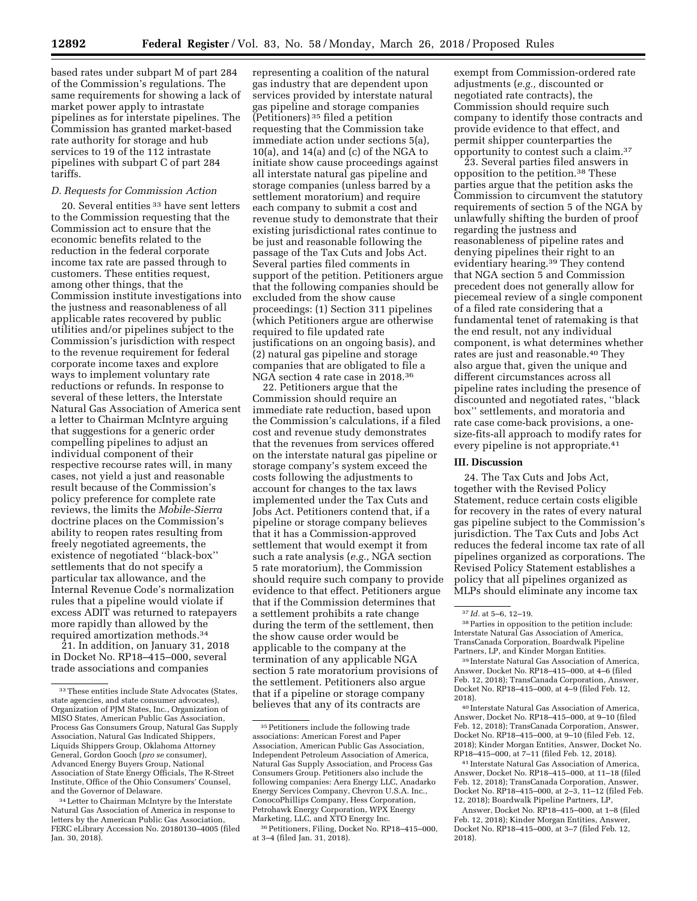based rates under subpart M of part 284 of the Commission's regulations. The same requirements for showing a lack of market power apply to intrastate pipelines as for interstate pipelines. The Commission has granted market-based rate authority for storage and hub services to 19 of the 112 intrastate pipelines with subpart C of part 284 tariffs.

## *D. Requests for Commission Action*

20. Several entities 33 have sent letters to the Commission requesting that the Commission act to ensure that the economic benefits related to the reduction in the federal corporate income tax rate are passed through to customers. These entities request, among other things, that the Commission institute investigations into the justness and reasonableness of all applicable rates recovered by public utilities and/or pipelines subject to the Commission's jurisdiction with respect to the revenue requirement for federal corporate income taxes and explore ways to implement voluntary rate reductions or refunds. In response to several of these letters, the Interstate Natural Gas Association of America sent a letter to Chairman McIntyre arguing that suggestions for a generic order compelling pipelines to adjust an individual component of their respective recourse rates will, in many cases, not yield a just and reasonable result because of the Commission's policy preference for complete rate reviews, the limits the *Mobile-Sierra*  doctrine places on the Commission's ability to reopen rates resulting from freely negotiated agreements, the existence of negotiated ''black-box'' settlements that do not specify a particular tax allowance, and the Internal Revenue Code's normalization rules that a pipeline would violate if excess ADIT was returned to ratepayers more rapidly than allowed by the required amortization methods.34

21. In addition, on January 31, 2018 in Docket No. RP18–415–000, several trade associations and companies

representing a coalition of the natural gas industry that are dependent upon services provided by interstate natural gas pipeline and storage companies (Petitioners) 35 filed a petition requesting that the Commission take immediate action under sections 5(a), 10(a), and 14(a) and (c) of the NGA to initiate show cause proceedings against all interstate natural gas pipeline and storage companies (unless barred by a settlement moratorium) and require each company to submit a cost and revenue study to demonstrate that their existing jurisdictional rates continue to be just and reasonable following the passage of the Tax Cuts and Jobs Act. Several parties filed comments in support of the petition. Petitioners argue that the following companies should be excluded from the show cause proceedings: (1) Section 311 pipelines (which Petitioners argue are otherwise required to file updated rate justifications on an ongoing basis), and (2) natural gas pipeline and storage companies that are obligated to file a NGA section 4 rate case in 2018.36

22. Petitioners argue that the Commission should require an immediate rate reduction, based upon the Commission's calculations, if a filed cost and revenue study demonstrates that the revenues from services offered on the interstate natural gas pipeline or storage company's system exceed the costs following the adjustments to account for changes to the tax laws implemented under the Tax Cuts and Jobs Act. Petitioners contend that, if a pipeline or storage company believes that it has a Commission-approved settlement that would exempt it from such a rate analysis (*e.g.,* NGA section 5 rate moratorium), the Commission should require such company to provide evidence to that effect. Petitioners argue that if the Commission determines that a settlement prohibits a rate change during the term of the settlement, then the show cause order would be applicable to the company at the termination of any applicable NGA section 5 rate moratorium provisions of the settlement. Petitioners also argue that if a pipeline or storage company believes that any of its contracts are

exempt from Commission-ordered rate adjustments (*e.g.,* discounted or negotiated rate contracts), the Commission should require such company to identify those contracts and provide evidence to that effect, and permit shipper counterparties the opportunity to contest such a claim.37

23. Several parties filed answers in opposition to the petition.38 These parties argue that the petition asks the Commission to circumvent the statutory requirements of section 5 of the NGA by unlawfully shifting the burden of proof regarding the justness and reasonableness of pipeline rates and denying pipelines their right to an evidentiary hearing.<sup>39</sup> They contend that NGA section 5 and Commission precedent does not generally allow for piecemeal review of a single component of a filed rate considering that a fundamental tenet of ratemaking is that the end result, not any individual component, is what determines whether rates are just and reasonable.40 They also argue that, given the unique and different circumstances across all pipeline rates including the presence of discounted and negotiated rates, ''black box'' settlements, and moratoria and rate case come-back provisions, a onesize-fits-all approach to modify rates for every pipeline is not appropriate.41

## **III. Discussion**

24. The Tax Cuts and Jobs Act, together with the Revised Policy Statement, reduce certain costs eligible for recovery in the rates of every natural gas pipeline subject to the Commission's jurisdiction. The Tax Cuts and Jobs Act reduces the federal income tax rate of all pipelines organized as corporations. The Revised Policy Statement establishes a policy that all pipelines organized as MLPs should eliminate any income tax

40 Interstate Natural Gas Association of America, Answer, Docket No. RP18–415–000, at 9–10 (filed Feb. 12, 2018); TransCanada Corporation, Answer, Docket No. RP18–415–000, at 9–10 (filed Feb. 12, 2018); Kinder Morgan Entities, Answer, Docket No. RP18–415–000, at 7–11 (filed Feb. 12, 2018).

41 Interstate Natural Gas Association of America, Answer, Docket No. RP18–415–000, at 11–18 (filed Feb. 12, 2018); TransCanada Corporation, Answer, Docket No. RP18–415–000, at 2–3, 11–12 (filed Feb. 12, 2018); Boardwalk Pipeline Partners, LP,

Answer, Docket No. RP18–415–000, at 1–8 (filed Feb. 12, 2018); Kinder Morgan Entities, Answer, Docket No. RP18–415–000, at 3–7 (filed Feb. 12, 2018).

<sup>33</sup>These entities include State Advocates (States, state agencies, and state consumer advocates), Organization of PJM States, Inc., Organization of MISO States, American Public Gas Association, Process Gas Consumers Group, Natural Gas Supply Association, Natural Gas Indicated Shippers, Liquids Shippers Group, Oklahoma Attorney General, Gordon Gooch (*pro se* consumer), Advanced Energy Buyers Group, National Association of State Energy Officials, The R-Street Institute, Office of the Ohio Consumers' Counsel, and the Governor of Delaware.

<sup>34</sup>Letter to Chairman McIntyre by the Interstate Natural Gas Association of America in response to letters by the American Public Gas Association, FERC eLibrary Accession No. 20180130–4005 (filed Jan. 30, 2018).

<sup>35</sup>Petitioners include the following trade associations: American Forest and Paper Association, American Public Gas Association, Independent Petroleum Association of America, Natural Gas Supply Association, and Process Gas Consumers Group. Petitioners also include the following companies: Aera Energy LLC, Anadarko Energy Services Company, Chevron U.S.A. Inc., ConocoPhillips Company, Hess Corporation, Petrohawk Energy Corporation, WPX Energy Marketing, LLC, and XTO Energy Inc.

<sup>36</sup>Petitioners, Filing, Docket No. RP18–415–000, at 3–4 (filed Jan. 31, 2018).

<sup>37</sup> *Id.* at 5–6, 12–19.

<sup>38</sup>Parties in opposition to the petition include: Interstate Natural Gas Association of America, TransCanada Corporation, Boardwalk Pipeline Partners, LP, and Kinder Morgan Entities.

<sup>39</sup> Interstate Natural Gas Association of America, Answer, Docket No. RP18–415–000, at 4–6 (filed Feb. 12, 2018); TransCanada Corporation, Answer, Docket No. RP18–415–000, at 4–9 (filed Feb. 12, 2018).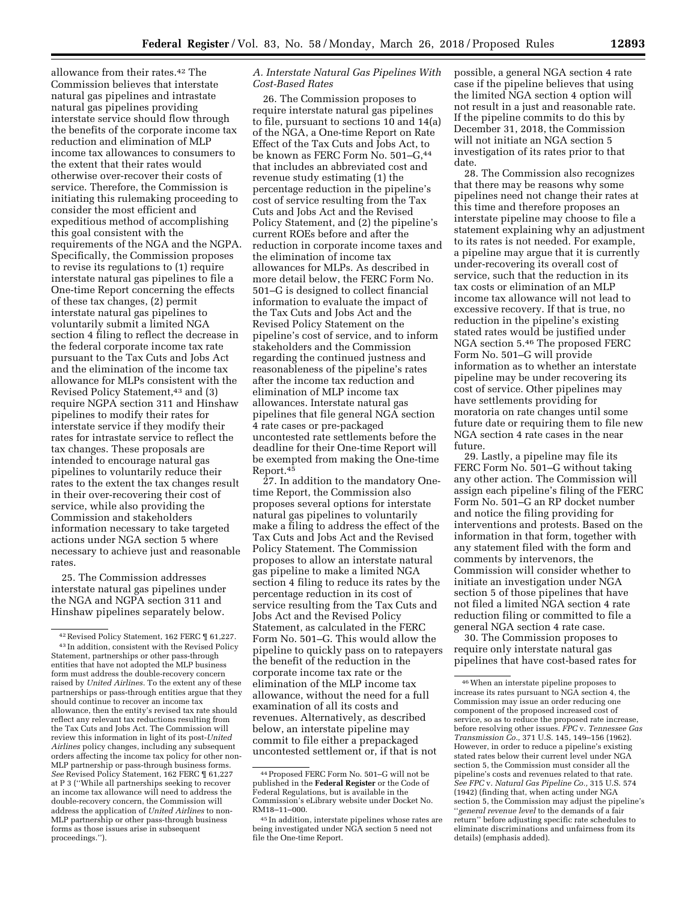allowance from their rates.42 The Commission believes that interstate natural gas pipelines and intrastate natural gas pipelines providing interstate service should flow through the benefits of the corporate income tax reduction and elimination of MLP income tax allowances to consumers to the extent that their rates would otherwise over-recover their costs of service. Therefore, the Commission is initiating this rulemaking proceeding to consider the most efficient and expeditious method of accomplishing this goal consistent with the requirements of the NGA and the NGPA. Specifically, the Commission proposes to revise its regulations to (1) require interstate natural gas pipelines to file a One-time Report concerning the effects of these tax changes, (2) permit interstate natural gas pipelines to voluntarily submit a limited NGA section 4 filing to reflect the decrease in the federal corporate income tax rate pursuant to the Tax Cuts and Jobs Act and the elimination of the income tax allowance for MLPs consistent with the Revised Policy Statement,43 and (3) require NGPA section 311 and Hinshaw pipelines to modify their rates for interstate service if they modify their rates for intrastate service to reflect the tax changes. These proposals are intended to encourage natural gas pipelines to voluntarily reduce their rates to the extent the tax changes result in their over-recovering their cost of service, while also providing the Commission and stakeholders information necessary to take targeted actions under NGA section 5 where necessary to achieve just and reasonable rates.

25. The Commission addresses interstate natural gas pipelines under the NGA and NGPA section 311 and Hinshaw pipelines separately below.

# *A. Interstate Natural Gas Pipelines With Cost-Based Rates*

26. The Commission proposes to require interstate natural gas pipelines to file, pursuant to sections 10 and 14(a) of the NGA, a One-time Report on Rate Effect of the Tax Cuts and Jobs Act, to be known as FERC Form No. 501–G,44 that includes an abbreviated cost and revenue study estimating (1) the percentage reduction in the pipeline's cost of service resulting from the Tax Cuts and Jobs Act and the Revised Policy Statement, and (2) the pipeline's current ROEs before and after the reduction in corporate income taxes and the elimination of income tax allowances for MLPs. As described in more detail below, the FERC Form No. 501–G is designed to collect financial information to evaluate the impact of the Tax Cuts and Jobs Act and the Revised Policy Statement on the pipeline's cost of service, and to inform stakeholders and the Commission regarding the continued justness and reasonableness of the pipeline's rates after the income tax reduction and elimination of MLP income tax allowances. Interstate natural gas pipelines that file general NGA section 4 rate cases or pre-packaged uncontested rate settlements before the deadline for their One-time Report will be exempted from making the One-time Report.45

27. In addition to the mandatory Onetime Report, the Commission also proposes several options for interstate natural gas pipelines to voluntarily make a filing to address the effect of the Tax Cuts and Jobs Act and the Revised Policy Statement. The Commission proposes to allow an interstate natural gas pipeline to make a limited NGA section 4 filing to reduce its rates by the percentage reduction in its cost of service resulting from the Tax Cuts and Jobs Act and the Revised Policy Statement, as calculated in the FERC Form No. 501–G. This would allow the pipeline to quickly pass on to ratepayers the benefit of the reduction in the corporate income tax rate or the elimination of the MLP income tax allowance, without the need for a full examination of all its costs and revenues. Alternatively, as described below, an interstate pipeline may commit to file either a prepackaged uncontested settlement or, if that is not

possible, a general NGA section 4 rate case if the pipeline believes that using the limited NGA section 4 option will not result in a just and reasonable rate. If the pipeline commits to do this by December 31, 2018, the Commission will not initiate an NGA section 5 investigation of its rates prior to that date.

28. The Commission also recognizes that there may be reasons why some pipelines need not change their rates at this time and therefore proposes an interstate pipeline may choose to file a statement explaining why an adjustment to its rates is not needed. For example, a pipeline may argue that it is currently under-recovering its overall cost of service, such that the reduction in its tax costs or elimination of an MLP income tax allowance will not lead to excessive recovery. If that is true, no reduction in the pipeline's existing stated rates would be justified under NGA section 5.46 The proposed FERC Form No. 501–G will provide information as to whether an interstate pipeline may be under recovering its cost of service. Other pipelines may have settlements providing for moratoria on rate changes until some future date or requiring them to file new NGA section 4 rate cases in the near future.

29. Lastly, a pipeline may file its FERC Form No. 501–G without taking any other action. The Commission will assign each pipeline's filing of the FERC Form No. 501–G an RP docket number and notice the filing providing for interventions and protests. Based on the information in that form, together with any statement filed with the form and comments by intervenors, the Commission will consider whether to initiate an investigation under NGA section 5 of those pipelines that have not filed a limited NGA section 4 rate reduction filing or committed to file a general NGA section 4 rate case.

30. The Commission proposes to require only interstate natural gas pipelines that have cost-based rates for

<sup>42</sup>Revised Policy Statement, 162 FERC ¶ 61,227. 43 In addition, consistent with the Revised Policy Statement, partnerships or other pass-through entities that have not adopted the MLP business form must address the double-recovery concern raised by *United Airlines.* To the extent any of these partnerships or pass-through entities argue that they should continue to recover an income tax allowance, then the entity's revised tax rate should reflect any relevant tax reductions resulting from the Tax Cuts and Jobs Act. The Commission will review this information in light of its post-*United Airlines* policy changes, including any subsequent orders affecting the income tax policy for other non-MLP partnership or pass-through business forms. *See* Revised Policy Statement, 162 FERC ¶ 61,227 at P 3 (''While all partnerships seeking to recover an income tax allowance will need to address the double-recovery concern, the Commission will address the application of *United Airlines* to non-MLP partnership or other pass-through business forms as those issues arise in subsequent proceedings.'').

<sup>44</sup>Proposed FERC Form No. 501–G will not be published in the **Federal Register** or the Code of Federal Regulations, but is available in the Commission's eLibrary website under Docket No. RM18–11–000.

<sup>45</sup> In addition, interstate pipelines whose rates are being investigated under NGA section 5 need not file the One-time Report.

<sup>46</sup>When an interstate pipeline proposes to increase its rates pursuant to NGA section 4, the Commission may issue an order reducing one component of the proposed increased cost of service, so as to reduce the proposed rate increase, before resolving other issues. *FPC* v. *Tennessee Gas Transmission Co.,* 371 U.S. 145, 149–156 (1962). However, in order to reduce a pipeline's existing stated rates below their current level under NGA section 5, the Commission must consider all the pipeline's costs and revenues related to that rate. *See FPC* v. *Natural Gas Pipeline Co.,* 315 U.S. 574 (1942) (finding that, when acting under NGA section 5, the Commission may adjust the pipeline's ''*general revenue level* to the demands of a fair return'' before adjusting specific rate schedules to eliminate discriminations and unfairness from its details) (emphasis added).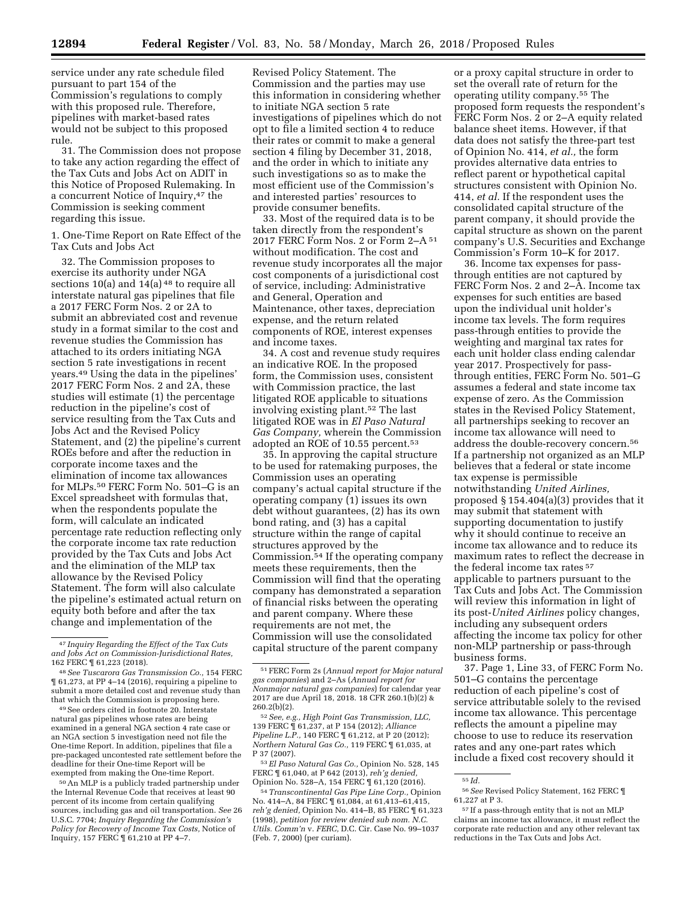service under any rate schedule filed pursuant to part 154 of the Commission's regulations to comply with this proposed rule. Therefore, pipelines with market-based rates would not be subject to this proposed rule.

31. The Commission does not propose to take any action regarding the effect of the Tax Cuts and Jobs Act on ADIT in this Notice of Proposed Rulemaking. In a concurrent Notice of Inquiry,<sup>47</sup> the Commission is seeking comment regarding this issue.

1. One-Time Report on Rate Effect of the Tax Cuts and Jobs Act

32. The Commission proposes to exercise its authority under NGA sections 10(a) and  $14(a)$ <sup>48</sup> to require all interstate natural gas pipelines that file a 2017 FERC Form Nos. 2 or 2A to submit an abbreviated cost and revenue study in a format similar to the cost and revenue studies the Commission has attached to its orders initiating NGA section 5 rate investigations in recent years.49 Using the data in the pipelines' 2017 FERC Form Nos. 2 and 2A, these studies will estimate (1) the percentage reduction in the pipeline's cost of service resulting from the Tax Cuts and Jobs Act and the Revised Policy Statement, and (2) the pipeline's current ROEs before and after the reduction in corporate income taxes and the elimination of income tax allowances for MLPs.50 FERC Form No. 501–G is an Excel spreadsheet with formulas that, when the respondents populate the form, will calculate an indicated percentage rate reduction reflecting only the corporate income tax rate reduction provided by the Tax Cuts and Jobs Act and the elimination of the MLP tax allowance by the Revised Policy Statement. The form will also calculate the pipeline's estimated actual return on equity both before and after the tax change and implementation of the

49See orders cited in footnote 20. Interstate natural gas pipelines whose rates are being examined in a general NGA section 4 rate case or an NGA section 5 investigation need not file the One-time Report. In addition, pipelines that file a pre-packaged uncontested rate settlement before the deadline for their One-time Report will be exempted from making the One-time Report.

50An MLP is a publicly traded partnership under the Internal Revenue Code that receives at least 90 percent of its income from certain qualifying sources, including gas and oil transportation. *See* 26 U.S.C. 7704; *Inquiry Regarding the Commission's Policy for Recovery of Income Tax Costs,* Notice of Inquiry, 157 FERC ¶ 61,210 at PP 4–7.

Revised Policy Statement. The Commission and the parties may use this information in considering whether to initiate NGA section 5 rate investigations of pipelines which do not opt to file a limited section 4 to reduce their rates or commit to make a general section 4 filing by December 31, 2018, and the order in which to initiate any such investigations so as to make the most efficient use of the Commission's and interested parties' resources to provide consumer benefits.

33. Most of the required data is to be taken directly from the respondent's 2017 FERC Form Nos. 2 or Form 2–A 51 without modification. The cost and revenue study incorporates all the major cost components of a jurisdictional cost of service, including: Administrative and General, Operation and Maintenance, other taxes, depreciation expense, and the return related components of ROE, interest expenses and income taxes.

34. A cost and revenue study requires an indicative ROE. In the proposed form, the Commission uses, consistent with Commission practice, the last litigated ROE applicable to situations involving existing plant.52 The last litigated ROE was in *El Paso Natural Gas Company,* wherein the Commission adopted an ROE of 10.55 percent.53

35. In approving the capital structure to be used for ratemaking purposes, the Commission uses an operating company's actual capital structure if the operating company (1) issues its own debt without guarantees, (2) has its own bond rating, and (3) has a capital structure within the range of capital structures approved by the Commission.54 If the operating company meets these requirements, then the Commission will find that the operating company has demonstrated a separation of financial risks between the operating and parent company. Where these requirements are not met, the Commission will use the consolidated capital structure of the parent company

53*El Paso Natural Gas Co.,* Opinion No. 528, 145 FERC ¶ 61,040, at P 642 (2013), *reh'g denied,*  Opinion No. 528–A, 154 FERC ¶ 61,120 (2016).

54*Transcontinental Gas Pipe Line Corp.,* Opinion No. 414–A, 84 FERC ¶ 61,084, at 61,413–61,415, *reh'g denied,* Opinion No. 414–B, 85 FERC ¶ 61,323 (1998), *petition for review denied sub nom. N.C. Utils. Comm'n* v. *FERC,* D.C. Cir. Case No. 99–1037 (Feb. 7, 2000) (per curiam).

or a proxy capital structure in order to set the overall rate of return for the operating utility company.55 The proposed form requests the respondent's FERC Form Nos. 2 or 2-A equity related balance sheet items. However, if that data does not satisfy the three-part test of Opinion No. 414, *et al.,* the form provides alternative data entries to reflect parent or hypothetical capital structures consistent with Opinion No. 414, *et al.* If the respondent uses the consolidated capital structure of the parent company, it should provide the capital structure as shown on the parent company's U.S. Securities and Exchange Commission's Form 10–K for 2017.

36. Income tax expenses for passthrough entities are not captured by FERC Form Nos. 2 and 2–A. Income tax expenses for such entities are based upon the individual unit holder's income tax levels. The form requires pass-through entities to provide the weighting and marginal tax rates for each unit holder class ending calendar year 2017. Prospectively for passthrough entities, FERC Form No. 501–G assumes a federal and state income tax expense of zero. As the Commission states in the Revised Policy Statement, all partnerships seeking to recover an income tax allowance will need to address the double-recovery concern.56 If a partnership not organized as an MLP believes that a federal or state income tax expense is permissible notwithstanding *United Airlines,*  proposed § 154.404(a)(3) provides that it may submit that statement with supporting documentation to justify why it should continue to receive an income tax allowance and to reduce its maximum rates to reflect the decrease in the federal income tax rates 57 applicable to partners pursuant to the Tax Cuts and Jobs Act. The Commission will review this information in light of its post-*United Airlines* policy changes, including any subsequent orders affecting the income tax policy for other non-MLP partnership or pass-through business forms.

37. Page 1, Line 33, of FERC Form No. 501–G contains the percentage reduction of each pipeline's cost of service attributable solely to the revised income tax allowance. This percentage reflects the amount a pipeline may choose to use to reduce its reservation rates and any one-part rates which include a fixed cost recovery should it

<sup>47</sup> *Inquiry Regarding the Effect of the Tax Cuts and Jobs Act on Commission-Jurisdictional Rates,*  162 FERC ¶ 61,223 (2018).

<sup>48</sup>*See Tuscarora Gas Transmission Co.,* 154 FERC ¶ 61,273, at PP 4–14 (2016), requiring a pipeline to submit a more detailed cost and revenue study than that which the Commission is proposing here.

<sup>51</sup>FERC Form 2s (*Annual report for Major natural gas companies*) and 2–As (*Annual report for Nonmajor natural gas companies*) for calendar year 2017 are due April 18, 2018. 18 CFR 260.1(b)(2) &  $260.2(b)(2)$ .

<sup>52</sup>*See, e.g., High Point Gas Transmission, LLC,*  139 FERC ¶ 61,237, at P 154 (2012); *Alliance Pipeline L.P.*, 140 FERC  $\parallel$  61, 212, at P 20 (2012); *Northern Natural Gas Co.,* 119 FERC ¶ 61,035, at P 37 (2007).

<sup>55</sup> *Id.* 

<sup>56</sup>*See* Revised Policy Statement, 162 FERC ¶ 61,227 at P 3.

<sup>57</sup> If a pass-through entity that is not an MLP claims an income tax allowance, it must reflect the corporate rate reduction and any other relevant tax reductions in the Tax Cuts and Jobs Act.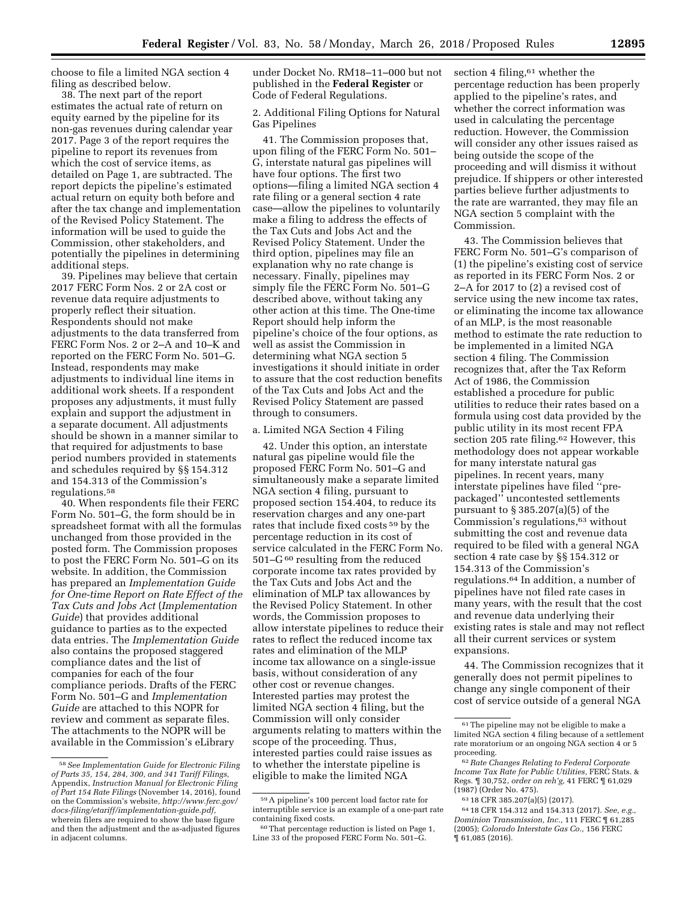choose to file a limited NGA section 4 filing as described below.

38. The next part of the report estimates the actual rate of return on equity earned by the pipeline for its non-gas revenues during calendar year 2017. Page 3 of the report requires the pipeline to report its revenues from which the cost of service items, as detailed on Page 1, are subtracted. The report depicts the pipeline's estimated actual return on equity both before and after the tax change and implementation of the Revised Policy Statement. The information will be used to guide the Commission, other stakeholders, and potentially the pipelines in determining additional steps.

39. Pipelines may believe that certain 2017 FERC Form Nos. 2 or 2A cost or revenue data require adjustments to properly reflect their situation. Respondents should not make adjustments to the data transferred from FERC Form Nos. 2 or 2–A and 10–K and reported on the FERC Form No. 501–G. Instead, respondents may make adjustments to individual line items in additional work sheets. If a respondent proposes any adjustments, it must fully explain and support the adjustment in a separate document. All adjustments should be shown in a manner similar to that required for adjustments to base period numbers provided in statements and schedules required by §§ 154.312 and 154.313 of the Commission's regulations.58

40. When respondents file their FERC Form No. 501–G, the form should be in spreadsheet format with all the formulas unchanged from those provided in the posted form. The Commission proposes to post the FERC Form No. 501–G on its website. In addition, the Commission has prepared an *Implementation Guide for One-time Report on Rate Effect of the Tax Cuts and Jobs Act* (*Implementation Guide*) that provides additional guidance to parties as to the expected data entries. The *Implementation Guide*  also contains the proposed staggered compliance dates and the list of companies for each of the four compliance periods. Drafts of the FERC Form No. 501–G and *Implementation Guide* are attached to this NOPR for review and comment as separate files. The attachments to the NOPR will be available in the Commission's eLibrary

under Docket No. RM18–11–000 but not published in the **Federal Register** or Code of Federal Regulations.

2. Additional Filing Options for Natural Gas Pipelines

41. The Commission proposes that, upon filing of the FERC Form No. 501– G, interstate natural gas pipelines will have four options. The first two options—filing a limited NGA section 4 rate filing or a general section 4 rate case—allow the pipelines to voluntarily make a filing to address the effects of the Tax Cuts and Jobs Act and the Revised Policy Statement. Under the third option, pipelines may file an explanation why no rate change is necessary. Finally, pipelines may simply file the FERC Form No. 501–G described above, without taking any other action at this time. The One-time Report should help inform the pipeline's choice of the four options, as well as assist the Commission in determining what NGA section 5 investigations it should initiate in order to assure that the cost reduction benefits of the Tax Cuts and Jobs Act and the Revised Policy Statement are passed through to consumers.

# a. Limited NGA Section 4 Filing

42. Under this option, an interstate natural gas pipeline would file the proposed FERC Form No. 501–G and simultaneously make a separate limited NGA section 4 filing, pursuant to proposed section 154.404, to reduce its reservation charges and any one-part rates that include fixed costs 59 by the percentage reduction in its cost of service calculated in the FERC Form No. 501–G 60 resulting from the reduced corporate income tax rates provided by the Tax Cuts and Jobs Act and the elimination of MLP tax allowances by the Revised Policy Statement. In other words, the Commission proposes to allow interstate pipelines to reduce their rates to reflect the reduced income tax rates and elimination of the MLP income tax allowance on a single-issue basis, without consideration of any other cost or revenue changes. Interested parties may protest the limited NGA section 4 filing, but the Commission will only consider arguments relating to matters within the scope of the proceeding. Thus, interested parties could raise issues as to whether the interstate pipeline is eligible to make the limited NGA

section 4 filing, $61$  whether the percentage reduction has been properly applied to the pipeline's rates, and whether the correct information was used in calculating the percentage reduction. However, the Commission will consider any other issues raised as being outside the scope of the proceeding and will dismiss it without prejudice. If shippers or other interested parties believe further adjustments to the rate are warranted, they may file an NGA section 5 complaint with the Commission.

43. The Commission believes that FERC Form No. 501–G's comparison of (1) the pipeline's existing cost of service as reported in its FERC Form Nos. 2 or 2–A for 2017 to (2) a revised cost of service using the new income tax rates, or eliminating the income tax allowance of an MLP, is the most reasonable method to estimate the rate reduction to be implemented in a limited NGA section 4 filing. The Commission recognizes that, after the Tax Reform Act of 1986, the Commission established a procedure for public utilities to reduce their rates based on a formula using cost data provided by the public utility in its most recent FPA section 205 rate filing.<sup>62</sup> However, this methodology does not appear workable for many interstate natural gas pipelines. In recent years, many interstate pipelines have filed ''prepackaged'' uncontested settlements pursuant to § 385.207(a)(5) of the Commission's regulations,63 without submitting the cost and revenue data required to be filed with a general NGA section 4 rate case by §§ 154.312 or 154.313 of the Commission's regulations.64 In addition, a number of pipelines have not filed rate cases in many years, with the result that the cost and revenue data underlying their existing rates is stale and may not reflect all their current services or system expansions.

44. The Commission recognizes that it generally does not permit pipelines to change any single component of their cost of service outside of a general NGA

<sup>58</sup>*See Implementation Guide for Electronic Filing of Parts 35, 154, 284, 300, and 341 Tariff Filings,*  Appendix, *Instruction Manual for Electronic Filing of Part 154 Rate Filings* (November 14, 2016), found on the Commission's website, *[http://www.ferc.gov/](http://www.ferc.gov/docs-filing/etariff/implementation-guide.pdf)  [docs-filing/etariff/implementation-guide.pdf,](http://www.ferc.gov/docs-filing/etariff/implementation-guide.pdf)*  wherein filers are required to show the base figure and then the adjustment and the as-adjusted figures in adjacent columns.

<sup>59</sup>A pipeline's 100 percent load factor rate for interruptible service is an example of a one-part rate containing fixed costs.

<sup>60</sup>That percentage reduction is listed on Page 1, Line 33 of the proposed FERC Form No. 501–G.

<sup>61</sup>The pipeline may not be eligible to make a limited NGA section 4 filing because of a settlement rate moratorium or an ongoing NGA section 4 or 5 proceeding.

<sup>62</sup>*Rate Changes Relating to Federal Corporate Income Tax Rate for Public Utilities,* FERC Stats. & Regs. ¶ 30,752, *order on reh'g,* 41 FERC ¶ 61,029 (1987) (Order No. 475).

<sup>63</sup> 18 CFR 385.207(a)(5) (2017).

<sup>64</sup> 18 CFR 154.312 and 154.313 (2017). *See, e.g., Dominion Transmission, Inc.,* 111 FERC ¶ 61,285 (2005); *Colorado Interstate Gas Co.,* 156 FERC ¶ 61,085 (2016).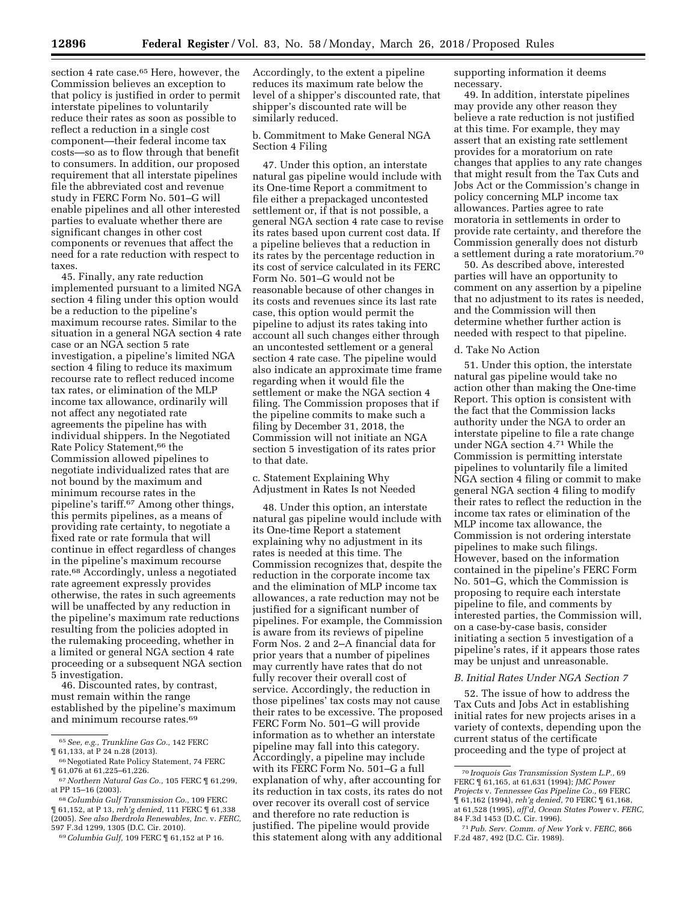section 4 rate case.<sup>65</sup> Here, however, the Commission believes an exception to that policy is justified in order to permit interstate pipelines to voluntarily reduce their rates as soon as possible to reflect a reduction in a single cost component—their federal income tax costs—so as to flow through that benefit to consumers. In addition, our proposed requirement that all interstate pipelines file the abbreviated cost and revenue study in FERC Form No. 501–G will enable pipelines and all other interested parties to evaluate whether there are significant changes in other cost components or revenues that affect the need for a rate reduction with respect to taxes.

45. Finally, any rate reduction implemented pursuant to a limited NGA section 4 filing under this option would be a reduction to the pipeline's maximum recourse rates. Similar to the situation in a general NGA section 4 rate case or an NGA section 5 rate investigation, a pipeline's limited NGA section 4 filing to reduce its maximum recourse rate to reflect reduced income tax rates, or elimination of the MLP income tax allowance, ordinarily will not affect any negotiated rate agreements the pipeline has with individual shippers. In the Negotiated Rate Policy Statement,<sup>66</sup> the Commission allowed pipelines to negotiate individualized rates that are not bound by the maximum and minimum recourse rates in the pipeline's tariff.67 Among other things, this permits pipelines, as a means of providing rate certainty, to negotiate a fixed rate or rate formula that will continue in effect regardless of changes in the pipeline's maximum recourse rate.68 Accordingly, unless a negotiated rate agreement expressly provides otherwise, the rates in such agreements will be unaffected by any reduction in the pipeline's maximum rate reductions resulting from the policies adopted in the rulemaking proceeding, whether in a limited or general NGA section 4 rate proceeding or a subsequent NGA section 5 investigation.

46. Discounted rates, by contrast, must remain within the range established by the pipeline's maximum and minimum recourse rates.69

(2005). *See also Iberdrola Renewables, Inc.* v. *FERC,*  597 F.3d 1299, 1305 (D.C. Cir. 2010).

Accordingly, to the extent a pipeline reduces its maximum rate below the level of a shipper's discounted rate, that shipper's discounted rate will be similarly reduced.

# b. Commitment to Make General NGA Section 4 Filing

47. Under this option, an interstate natural gas pipeline would include with its One-time Report a commitment to file either a prepackaged uncontested settlement or, if that is not possible, a general NGA section 4 rate case to revise its rates based upon current cost data. If a pipeline believes that a reduction in its rates by the percentage reduction in its cost of service calculated in its FERC Form No. 501–G would not be reasonable because of other changes in its costs and revenues since its last rate case, this option would permit the pipeline to adjust its rates taking into account all such changes either through an uncontested settlement or a general section 4 rate case. The pipeline would also indicate an approximate time frame regarding when it would file the settlement or make the NGA section 4 filing. The Commission proposes that if the pipeline commits to make such a filing by December 31, 2018, the Commission will not initiate an NGA section 5 investigation of its rates prior to that date.

c. Statement Explaining Why Adjustment in Rates Is not Needed

48. Under this option, an interstate natural gas pipeline would include with its One-time Report a statement explaining why no adjustment in its rates is needed at this time. The Commission recognizes that, despite the reduction in the corporate income tax and the elimination of MLP income tax allowances, a rate reduction may not be justified for a significant number of pipelines. For example, the Commission is aware from its reviews of pipeline Form Nos. 2 and 2–A financial data for prior years that a number of pipelines may currently have rates that do not fully recover their overall cost of service. Accordingly, the reduction in those pipelines' tax costs may not cause their rates to be excessive. The proposed FERC Form No. 501–G will provide information as to whether an interstate pipeline may fall into this category. Accordingly, a pipeline may include with its FERC Form No. 501–G a full explanation of why, after accounting for its reduction in tax costs, its rates do not over recover its overall cost of service and therefore no rate reduction is justified. The pipeline would provide this statement along with any additional supporting information it deems necessary.

49. In addition, interstate pipelines may provide any other reason they believe a rate reduction is not justified at this time. For example, they may assert that an existing rate settlement provides for a moratorium on rate changes that applies to any rate changes that might result from the Tax Cuts and Jobs Act or the Commission's change in policy concerning MLP income tax allowances. Parties agree to rate moratoria in settlements in order to provide rate certainty, and therefore the Commission generally does not disturb a settlement during a rate moratorium.70

50. As described above, interested parties will have an opportunity to comment on any assertion by a pipeline that no adjustment to its rates is needed, and the Commission will then determine whether further action is needed with respect to that pipeline.

#### d. Take No Action

51. Under this option, the interstate natural gas pipeline would take no action other than making the One-time Report. This option is consistent with the fact that the Commission lacks authority under the NGA to order an interstate pipeline to file a rate change under NGA section 4.71 While the Commission is permitting interstate pipelines to voluntarily file a limited NGA section 4 filing or commit to make general NGA section 4 filing to modify their rates to reflect the reduction in the income tax rates or elimination of the MLP income tax allowance, the Commission is not ordering interstate pipelines to make such filings. However, based on the information contained in the pipeline's FERC Form No. 501–G, which the Commission is proposing to require each interstate pipeline to file, and comments by interested parties, the Commission will, on a case-by-case basis, consider initiating a section 5 investigation of a pipeline's rates, if it appears those rates may be unjust and unreasonable.

## *B. Initial Rates Under NGA Section 7*

52. The issue of how to address the Tax Cuts and Jobs Act in establishing initial rates for new projects arises in a variety of contexts, depending upon the current status of the certificate proceeding and the type of project at

<sup>65</sup>*See, e.g., Trunkline Gas Co.,* 142 FERC ¶ 61,133, at P 24 n.28 (2013).

<sup>&</sup>lt;sup>66</sup> Negotiated Rate Policy Statement, 74 FERC ¶ 61,076 at 61,225–61,226.

<sup>67</sup>*Northern Natural Gas Co.,* 105 FERC ¶ 61,299, at PP 15–16 (2003).

<sup>68</sup>*Columbia Gulf Transmission Co.,* 109 FERC ¶ 61,152, at P 13, *reh'g denied,* 111 FERC ¶ 61,338

<sup>69</sup>*Columbia Gulf,* 109 FERC ¶ 61,152 at P 16.

<sup>70</sup> *Iroquois Gas Transmission System L.P.,* 69 FERC ¶ 61,165, at 61,631 (1994); *JMC Power Projects* v. *Tennessee Gas Pipeline Co.,* 69 FERC ¶ 61,162 (1994), *reh'g denied,* 70 FERC ¶ 61,168, at 61,528 (1995), *aff'd, Ocean States Power* v. *FERC,*  84 F.3d 1453 (D.C. Cir. 1996).

<sup>71</sup>*Pub. Serv. Comm. of New York* v. *FERC,* 866 F.2d 487, 492 (D.C. Cir. 1989).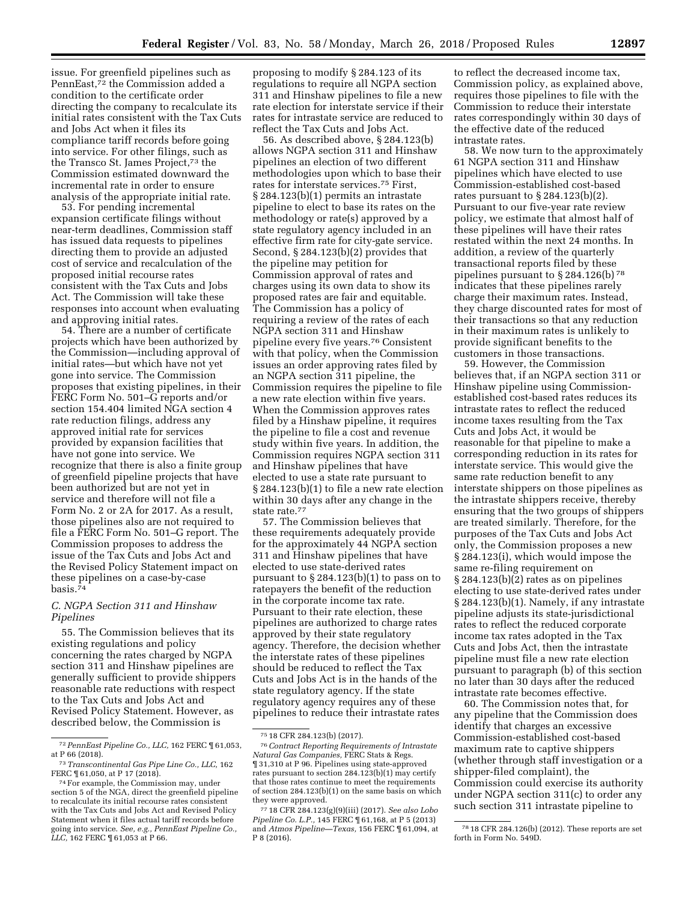issue. For greenfield pipelines such as PennEast,72 the Commission added a condition to the certificate order directing the company to recalculate its initial rates consistent with the Tax Cuts and Jobs Act when it files its compliance tariff records before going into service. For other filings, such as the Transco St. James Project,73 the Commission estimated downward the incremental rate in order to ensure analysis of the appropriate initial rate.

53. For pending incremental expansion certificate filings without near-term deadlines, Commission staff has issued data requests to pipelines directing them to provide an adjusted cost of service and recalculation of the proposed initial recourse rates consistent with the Tax Cuts and Jobs Act. The Commission will take these responses into account when evaluating and approving initial rates.

54. There are a number of certificate projects which have been authorized by the Commission—including approval of initial rates—but which have not yet gone into service. The Commission proposes that existing pipelines, in their FERC Form No. 501–G reports and/or section 154.404 limited NGA section 4 rate reduction filings, address any approved initial rate for services provided by expansion facilities that have not gone into service. We recognize that there is also a finite group of greenfield pipeline projects that have been authorized but are not yet in service and therefore will not file a Form No. 2 or 2A for 2017. As a result, those pipelines also are not required to file a FERC Form No. 501–G report. The Commission proposes to address the issue of the Tax Cuts and Jobs Act and the Revised Policy Statement impact on these pipelines on a case-by-case basis.74

# *C. NGPA Section 311 and Hinshaw Pipelines*

55. The Commission believes that its existing regulations and policy concerning the rates charged by NGPA section 311 and Hinshaw pipelines are generally sufficient to provide shippers reasonable rate reductions with respect to the Tax Cuts and Jobs Act and Revised Policy Statement. However, as described below, the Commission is

proposing to modify § 284.123 of its regulations to require all NGPA section 311 and Hinshaw pipelines to file a new rate election for interstate service if their rates for intrastate service are reduced to reflect the Tax Cuts and Jobs Act.

56. As described above, § 284.123(b) allows NGPA section 311 and Hinshaw pipelines an election of two different methodologies upon which to base their rates for interstate services.75 First, § 284.123(b)(1) permits an intrastate pipeline to elect to base its rates on the methodology or rate(s) approved by a state regulatory agency included in an effective firm rate for city-gate service. Second, § 284.123(b)(2) provides that the pipeline may petition for Commission approval of rates and charges using its own data to show its proposed rates are fair and equitable. The Commission has a policy of requiring a review of the rates of each NGPA section 311 and Hinshaw pipeline every five years.76 Consistent with that policy, when the Commission issues an order approving rates filed by an NGPA section 311 pipeline, the Commission requires the pipeline to file a new rate election within five years. When the Commission approves rates filed by a Hinshaw pipeline, it requires the pipeline to file a cost and revenue study within five years. In addition, the Commission requires NGPA section 311 and Hinshaw pipelines that have elected to use a state rate pursuant to § 284.123(b)(1) to file a new rate election within 30 days after any change in the state rate.77

57. The Commission believes that these requirements adequately provide for the approximately 44 NGPA section 311 and Hinshaw pipelines that have elected to use state-derived rates pursuant to § 284.123(b)(1) to pass on to ratepayers the benefit of the reduction in the corporate income tax rate. Pursuant to their rate election, these pipelines are authorized to charge rates approved by their state regulatory agency. Therefore, the decision whether the interstate rates of these pipelines should be reduced to reflect the Tax Cuts and Jobs Act is in the hands of the state regulatory agency. If the state regulatory agency requires any of these pipelines to reduce their intrastate rates

to reflect the decreased income tax, Commission policy, as explained above, requires those pipelines to file with the Commission to reduce their interstate rates correspondingly within 30 days of the effective date of the reduced intrastate rates.

58. We now turn to the approximately 61 NGPA section 311 and Hinshaw pipelines which have elected to use Commission-established cost-based rates pursuant to  $\S 284.123(b)(2)$ . Pursuant to our five-year rate review policy, we estimate that almost half of these pipelines will have their rates restated within the next 24 months. In addition, a review of the quarterly transactional reports filed by these pipelines pursuant to § 284.126(b) 78 indicates that these pipelines rarely charge their maximum rates. Instead, they charge discounted rates for most of their transactions so that any reduction in their maximum rates is unlikely to provide significant benefits to the customers in those transactions.

59. However, the Commission believes that, if an NGPA section 311 or Hinshaw pipeline using Commissionestablished cost-based rates reduces its intrastate rates to reflect the reduced income taxes resulting from the Tax Cuts and Jobs Act, it would be reasonable for that pipeline to make a corresponding reduction in its rates for interstate service. This would give the same rate reduction benefit to any interstate shippers on those pipelines as the intrastate shippers receive, thereby ensuring that the two groups of shippers are treated similarly. Therefore, for the purposes of the Tax Cuts and Jobs Act only, the Commission proposes a new § 284.123(i), which would impose the same re-filing requirement on § 284.123(b)(2) rates as on pipelines electing to use state-derived rates under § 284.123(b)(1). Namely, if any intrastate pipeline adjusts its state-jurisdictional rates to reflect the reduced corporate income tax rates adopted in the Tax Cuts and Jobs Act, then the intrastate pipeline must file a new rate election pursuant to paragraph (b) of this section no later than 30 days after the reduced intrastate rate becomes effective.

60. The Commission notes that, for any pipeline that the Commission does identify that charges an excessive Commission-established cost-based maximum rate to captive shippers (whether through staff investigation or a shipper-filed complaint), the Commission could exercise its authority under NGPA section 311(c) to order any such section 311 intrastate pipeline to

<sup>72</sup>*PennEast Pipeline Co., LLC,* 162 FERC ¶ 61,053, at P 66 (2018).

<sup>73</sup>*Transcontinental Gas Pipe Line Co., LLC,* 162 FERC ¶ 61,050, at P 17 (2018).

<sup>74</sup>For example, the Commission may, under section 5 of the NGA, direct the greenfield pipeline to recalculate its initial recourse rates consistent with the Tax Cuts and Jobs Act and Revised Policy Statement when it files actual tariff records before going into service. *See, e.g., PennEast Pipeline Co., LLC,* 162 FERC ¶ 61,053 at P 66.

<sup>75</sup> 18 CFR 284.123(b) (2017).

<sup>76</sup>*Contract Reporting Requirements of Intrastate Natural Gas Companies,* FERC Stats & Regs. ¶ 31,310 at P 96. Pipelines using state-approved rates pursuant to section 284.123(b)(1) may certify that those rates continue to meet the requirements of section 284.123(b)(1) on the same basis on which they were approved.

<sup>77</sup> 18 CFR 284.123(g)(9)(iii) (2017). *See also Lobo Pipeline Co. L.P.,* 145 FERC ¶ 61,168, at P 5 (2013) and *Atmos Pipeline—Texas,* 156 FERC ¶ 61,094, at P 8 (2016).

<sup>78</sup> 18 CFR 284.126(b) (2012). These reports are set forth in Form No. 549D.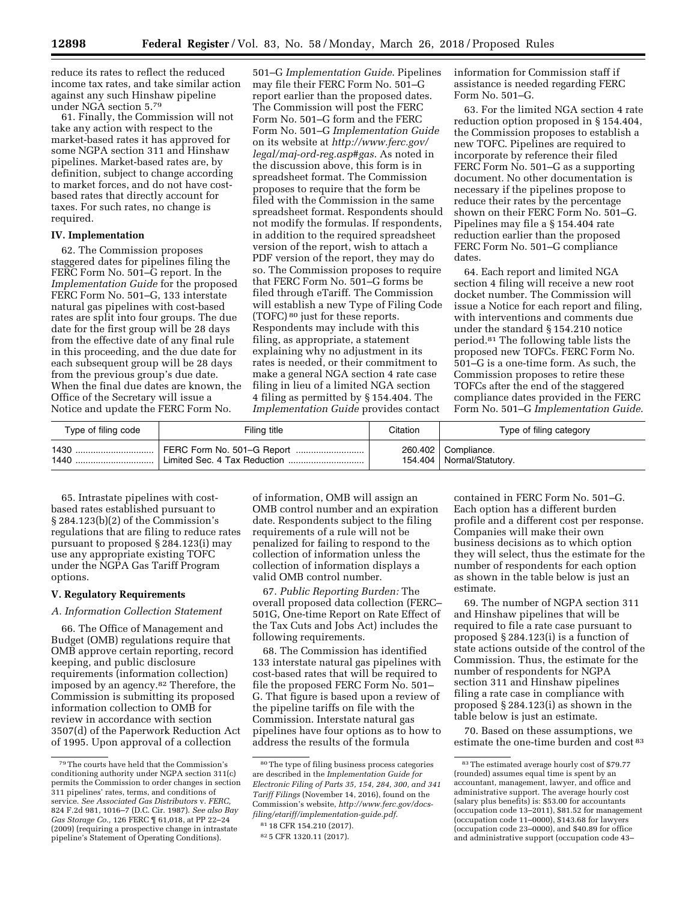reduce its rates to reflect the reduced income tax rates, and take similar action against any such Hinshaw pipeline under NGA section 5.79

61. Finally, the Commission will not take any action with respect to the market-based rates it has approved for some NGPA section 311 and Hinshaw pipelines. Market-based rates are, by definition, subject to change according to market forces, and do not have costbased rates that directly account for taxes. For such rates, no change is required.

# **IV. Implementation**

62. The Commission proposes staggered dates for pipelines filing the FERC Form No. 501–G report. In the *Implementation Guide* for the proposed FERC Form No. 501–G, 133 interstate natural gas pipelines with cost-based rates are split into four groups. The due date for the first group will be 28 days from the effective date of any final rule in this proceeding, and the due date for each subsequent group will be 28 days from the previous group's due date. When the final due dates are known, the Office of the Secretary will issue a Notice and update the FERC Form No.

501–G *Implementation Guide*. Pipelines may file their FERC Form No. 501–G report earlier than the proposed dates. The Commission will post the FERC Form No. 501–G form and the FERC Form No. 501–G *Implementation Guide*  on its website at *[http://www.ferc.gov/](http://www.ferc.gov/legal/maj-ord-reg.asp#gas)  [legal/maj-ord-reg.asp#gas](http://www.ferc.gov/legal/maj-ord-reg.asp#gas)*. As noted in the discussion above, this form is in spreadsheet format. The Commission proposes to require that the form be filed with the Commission in the same spreadsheet format. Respondents should not modify the formulas. If respondents, in addition to the required spreadsheet version of the report, wish to attach a PDF version of the report, they may do so. The Commission proposes to require that FERC Form No. 501–G forms be filed through eTariff. The Commission will establish a new Type of Filing Code (TOFC) 80 just for these reports. Respondents may include with this filing, as appropriate, a statement explaining why no adjustment in its rates is needed, or their commitment to make a general NGA section 4 rate case filing in lieu of a limited NGA section 4 filing as permitted by § 154.404. The *Implementation Guide* provides contact

information for Commission staff if assistance is needed regarding FERC Form No. 501–G.

63. For the limited NGA section 4 rate reduction option proposed in § 154.404, the Commission proposes to establish a new TOFC. Pipelines are required to incorporate by reference their filed FERC Form No. 501–G as a supporting document. No other documentation is necessary if the pipelines propose to reduce their rates by the percentage shown on their FERC Form No. 501–G. Pipelines may file a § 154.404 rate reduction earlier than the proposed FERC Form No. 501–G compliance dates.

64. Each report and limited NGA section 4 filing will receive a new root docket number. The Commission will issue a Notice for each report and filing, with interventions and comments due under the standard § 154.210 notice period.81 The following table lists the proposed new TOFCs. FERC Form No. 501–G is a one-time form. As such, the Commission proposes to retire these TOFCs after the end of the staggered compliance dates provided in the FERC Form No. 501–G *Implementation Guide*.

| Type of filing code | Filing title               | Citation | Type of filing category     |
|---------------------|----------------------------|----------|-----------------------------|
| 1430                | FERC Form No. 501-G Report |          | 260.402   Compliance.       |
| 1440                |                            |          | 154.404   Normal/Statutory. |

65. Intrastate pipelines with costbased rates established pursuant to § 284.123(b)(2) of the Commission's regulations that are filing to reduce rates pursuant to proposed § 284.123(i) may use any appropriate existing TOFC under the NGPA Gas Tariff Program options.

## **V. Regulatory Requirements**

# *A. Information Collection Statement*

66. The Office of Management and Budget (OMB) regulations require that OMB approve certain reporting, record keeping, and public disclosure requirements (information collection) imposed by an agency.82 Therefore, the Commission is submitting its proposed information collection to OMB for review in accordance with section 3507(d) of the Paperwork Reduction Act of 1995. Upon approval of a collection

of information, OMB will assign an OMB control number and an expiration date. Respondents subject to the filing requirements of a rule will not be penalized for failing to respond to the collection of information unless the collection of information displays a valid OMB control number.

67. *Public Reporting Burden:* The overall proposed data collection (FERC– 501G, One-time Report on Rate Effect of the Tax Cuts and Jobs Act) includes the following requirements.

68. The Commission has identified 133 interstate natural gas pipelines with cost-based rates that will be required to file the proposed FERC Form No. 501– G. That figure is based upon a review of the pipeline tariffs on file with the Commission. Interstate natural gas pipelines have four options as to how to address the results of the formula

82 5 CFR 1320.11 (2017).

contained in FERC Form No. 501–G. Each option has a different burden profile and a different cost per response. Companies will make their own business decisions as to which option they will select, thus the estimate for the number of respondents for each option as shown in the table below is just an estimate.

69. The number of NGPA section 311 and Hinshaw pipelines that will be required to file a rate case pursuant to proposed § 284.123(i) is a function of state actions outside of the control of the Commission. Thus, the estimate for the number of respondents for NGPA section 311 and Hinshaw pipelines filing a rate case in compliance with proposed § 284.123(i) as shown in the table below is just an estimate.

70. Based on these assumptions, we estimate the one-time burden and cost 83

<sup>79</sup>The courts have held that the Commission's conditioning authority under NGPA section 311(c) permits the Commission to order changes in section 311 pipelines' rates, terms, and conditions of service. *See Associated Gas Distributors* v. *FERC,*  824 F.2d 981, 1016–7 (D.C. Cir. 1987). *See also Bay Gas Storage Co.,* 126 FERC ¶ 61,018, at PP 22–24 (2009) (requiring a prospective change in intrastate pipeline's Statement of Operating Conditions).

<sup>80</sup>The type of filing business process categories are described in the *Implementation Guide for Electronic Filing of Parts 35, 154, 284, 300, and 341 Tariff Filings* (November 14, 2016), found on the Commission's website, *[http://www.ferc.gov/docs](http://www.ferc.gov/docs-filing/etariff/implementation-guide.pdf)[filing/etariff/implementation-guide.pdf](http://www.ferc.gov/docs-filing/etariff/implementation-guide.pdf)*.

<sup>81</sup> 18 CFR 154.210 (2017).

<sup>83</sup>The estimated average hourly cost of \$79.77 (rounded) assumes equal time is spent by an accountant, management, lawyer, and office and administrative support. The average hourly cost (salary plus benefits) is: \$53.00 for accountants (occupation code 13–2011), \$81.52 for management (occupation code 11–0000), \$143.68 for lawyers (occupation code 23–0000), and \$40.89 for office and administrative support (occupation code 43–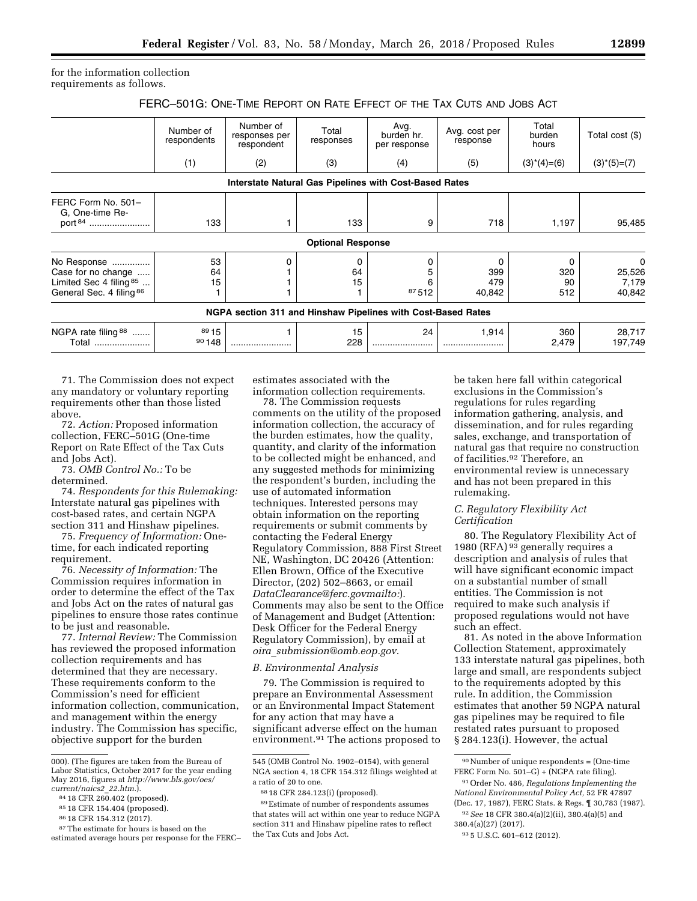for the information collection requirements as follows.

|  | FERC-501G: ONE-TIME REPORT ON RATE EFFECT OF THE TAX CUTS AND JOBS ACT |  |  |  |  |  |
|--|------------------------------------------------------------------------|--|--|--|--|--|
|--|------------------------------------------------------------------------|--|--|--|--|--|

|                                                                                            | Number of<br>respondents | Number of<br>responses per<br>respondent                     | Total<br>responses                                            | Avg.<br>burden hr.<br>per response | Avg. cost per<br>response | Total<br>burden<br>hours         | Total cost (\$)                  |
|--------------------------------------------------------------------------------------------|--------------------------|--------------------------------------------------------------|---------------------------------------------------------------|------------------------------------|---------------------------|----------------------------------|----------------------------------|
|                                                                                            | (1)                      | (2)                                                          | (3)                                                           | (4)                                | (5)                       | $(3)$ <sup>*</sup> $(4)$ = $(6)$ | $(3)$ <sup>*</sup> $(5)$ = $(7)$ |
|                                                                                            |                          |                                                              | <b>Interstate Natural Gas Pipelines with Cost-Based Rates</b> |                                    |                           |                                  |                                  |
| FERC Form No. 501-<br>G. One-time Re-<br>port <sup>84</sup>                                | 133                      |                                                              | 133                                                           | 9                                  | 718                       | 1,197                            | 95,485                           |
|                                                                                            |                          |                                                              | <b>Optional Response</b>                                      |                                    |                           |                                  |                                  |
| No Response<br>Case for no change<br>Limited Sec 4 filing $85$<br>General Sec. 4 filing 86 | 53<br>64<br>15           |                                                              | 64<br>15                                                      | 87512                              | 399<br>479<br>40,842      | 320<br>90<br>512                 | 0<br>25,526<br>7,179<br>40,842   |
|                                                                                            |                          | NGPA section 311 and Hinshaw Pipelines with Cost-Based Rates |                                                               |                                    |                           |                                  |                                  |
| NGPA rate filing $88$<br>Total                                                             | 89 15<br>90148           |                                                              | 15<br>228                                                     | 24<br>                             | 1,914                     | 360<br>2,479                     | 28,717<br>197,749                |

71. The Commission does not expect any mandatory or voluntary reporting requirements other than those listed above.

72. *Action:* Proposed information collection, FERC–501G (One-time Report on Rate Effect of the Tax Cuts and Jobs Act).

73. *OMB Control No.:* To be determined.

74. *Respondents for this Rulemaking:*  Interstate natural gas pipelines with cost-based rates, and certain NGPA section 311 and Hinshaw pipelines.

75. *Frequency of Information:* Onetime, for each indicated reporting requirement.

76. *Necessity of Information:* The Commission requires information in order to determine the effect of the Tax and Jobs Act on the rates of natural gas pipelines to ensure those rates continue to be just and reasonable.

77. *Internal Review:* The Commission has reviewed the proposed information collection requirements and has determined that they are necessary. These requirements conform to the Commission's need for efficient information collection, communication, and management within the energy industry. The Commission has specific, objective support for the burden

estimates associated with the information collection requirements.

78. The Commission requests comments on the utility of the proposed information collection, the accuracy of the burden estimates, how the quality, quantity, and clarity of the information to be collected might be enhanced, and any suggested methods for minimizing the respondent's burden, including the use of automated information techniques. Interested persons may obtain information on the reporting requirements or submit comments by contacting the Federal Energy Regulatory Commission, 888 First Street NE, Washington, DC 20426 (Attention: Ellen Brown, Office of the Executive Director, (202) 502–8663, or email *[DataClearance@ferc.govmailto:](mailto:DataClearance@ferc.govmailto)*). Comments may also be sent to the Office of Management and Budget (Attention: Desk Officer for the Federal Energy Regulatory Commission), by email at *oira*\_*[submission@omb.eop.gov](mailto:oira_submission@omb.eop.gov)*.

## *B. Environmental Analysis*

79. The Commission is required to prepare an Environmental Assessment or an Environmental Impact Statement for any action that may have a significant adverse effect on the human environment.91 The actions proposed to be taken here fall within categorical exclusions in the Commission's regulations for rules regarding information gathering, analysis, and dissemination, and for rules regarding sales, exchange, and transportation of natural gas that require no construction of facilities.92 Therefore, an environmental review is unnecessary and has not been prepared in this rulemaking.

### *C. Regulatory Flexibility Act Certification*

80. The Regulatory Flexibility Act of 1980 (RFA) 93 generally requires a description and analysis of rules that will have significant economic impact on a substantial number of small entities. The Commission is not required to make such analysis if proposed regulations would not have such an effect.

81. As noted in the above Information Collection Statement, approximately 133 interstate natural gas pipelines, both large and small, are respondents subject to the requirements adopted by this rule. In addition, the Commission estimates that another 59 NGPA natural gas pipelines may be required to file restated rates pursuant to proposed § 284.123(i). However, the actual

92*See* 18 CFR 380.4(a)(2)(ii), 380.4(a)(5) and 380.4(a)(27) (2017).

<sup>000). (</sup>The figures are taken from the Bureau of Labor Statistics, October 2017 for the year ending May 2016, figures at *[http://www.bls.gov/oes/](http://www.bls.gov/oes/current/naics2_22.htm)* 

<sup>&</sup>lt;sup>84</sup> 18 CFR 260.402 (proposed).

<sup>85</sup> 18 CFR 154.404 (proposed).

<sup>86</sup> 18 CFR 154.312 (2017).

<sup>87</sup>The estimate for hours is based on the estimated average hours per response for the FERC–

<sup>545 (</sup>OMB Control No. 1902–0154), with general NGA section 4, 18 CFR 154.312 filings weighted at a ratio of 20 to one.

<sup>88</sup> 18 CFR 284.123(i) (proposed).

<sup>89</sup>Estimate of number of respondents assumes that states will act within one year to reduce NGPA section 311 and Hinshaw pipeline rates to reflect the Tax Cuts and Jobs Act.

<sup>90</sup>Number of unique respondents = (One-time FERC Form No. 501–G) + (NGPA rate filing).

<sup>91</sup>Order No. 486, *Regulations Implementing the National Environmental Policy Act,* 52 FR 47897 (Dec. 17, 1987), FERC Stats. & Regs. ¶ 30,783 (1987).

<sup>93</sup> 5 U.S.C. 601–612 (2012).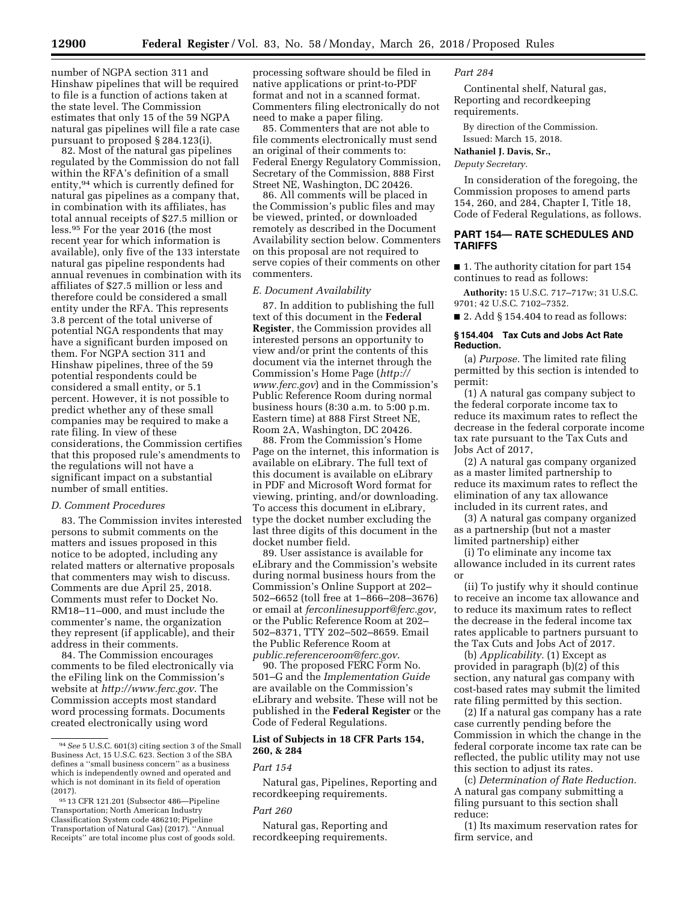number of NGPA section 311 and Hinshaw pipelines that will be required to file is a function of actions taken at the state level. The Commission estimates that only 15 of the 59 NGPA natural gas pipelines will file a rate case pursuant to proposed § 284.123(i).

82. Most of the natural gas pipelines regulated by the Commission do not fall within the RFA's definition of a small entity,94 which is currently defined for natural gas pipelines as a company that, in combination with its affiliates, has total annual receipts of \$27.5 million or less.95 For the year 2016 (the most recent year for which information is available), only five of the 133 interstate natural gas pipeline respondents had annual revenues in combination with its affiliates of \$27.5 million or less and therefore could be considered a small entity under the RFA. This represents 3.8 percent of the total universe of potential NGA respondents that may have a significant burden imposed on them. For NGPA section 311 and Hinshaw pipelines, three of the 59 potential respondents could be considered a small entity, or 5.1 percent. However, it is not possible to predict whether any of these small companies may be required to make a rate filing. In view of these considerations, the Commission certifies that this proposed rule's amendments to the regulations will not have a significant impact on a substantial number of small entities.

## *D. Comment Procedures*

83. The Commission invites interested persons to submit comments on the matters and issues proposed in this notice to be adopted, including any related matters or alternative proposals that commenters may wish to discuss. Comments are due April 25, 2018. Comments must refer to Docket No. RM18–11–000, and must include the commenter's name, the organization they represent (if applicable), and their address in their comments.

84. The Commission encourages comments to be filed electronically via the eFiling link on the Commission's website at *<http://www.ferc.gov>*. The Commission accepts most standard word processing formats. Documents created electronically using word

processing software should be filed in native applications or print-to-PDF format and not in a scanned format. Commenters filing electronically do not need to make a paper filing.

85. Commenters that are not able to file comments electronically must send an original of their comments to: Federal Energy Regulatory Commission, Secretary of the Commission, 888 First Street NE, Washington, DC 20426.

86. All comments will be placed in the Commission's public files and may be viewed, printed, or downloaded remotely as described in the Document Availability section below. Commenters on this proposal are not required to serve copies of their comments on other commenters.

#### *E. Document Availability*

87. In addition to publishing the full text of this document in the **Federal Register**, the Commission provides all interested persons an opportunity to view and/or print the contents of this document via the internet through the Commission's Home Page (*[http://](http://www.ferc.gov) [www.ferc.gov](http://www.ferc.gov)*) and in the Commission's Public Reference Room during normal business hours (8:30 a.m. to 5:00 p.m. Eastern time) at 888 First Street NE, Room 2A, Washington, DC 20426.

88. From the Commission's Home Page on the internet, this information is available on eLibrary. The full text of this document is available on eLibrary in PDF and Microsoft Word format for viewing, printing, and/or downloading. To access this document in eLibrary, type the docket number excluding the last three digits of this document in the docket number field.

89. User assistance is available for eLibrary and the Commission's website during normal business hours from the Commission's Online Support at 202– 502–6652 (toll free at 1–866–208–3676) or email at *[ferconlinesupport@ferc.gov,](mailto:ferconlinesupport@ferc.gov)*  or the Public Reference Room at 202– 502–8371, TTY 202–502–8659. Email the Public Reference Room at *[public.referenceroom@ferc.gov](mailto:public.referenceroom@ferc.gov)*.

90. The proposed FERC Form No. 501–G and the *Implementation Guide*  are available on the Commission's eLibrary and website. These will not be published in the **Federal Register** or the Code of Federal Regulations.

# **List of Subjects in 18 CFR Parts 154, 260, & 284**

# *Part 154*

Natural gas, Pipelines, Reporting and recordkeeping requirements.

#### *Part 260*

Natural gas, Reporting and recordkeeping requirements.

# *Part 284*

Continental shelf, Natural gas, Reporting and recordkeeping requirements.

By direction of the Commission.

Issued: March 15, 2018.

#### **Nathaniel J. Davis, Sr.,**

*Deputy Secretary.* 

In consideration of the foregoing, the Commission proposes to amend parts 154, 260, and 284, Chapter I, Title 18, Code of Federal Regulations, as follows.

# **PART 154— RATE SCHEDULES AND TARIFFS**

■ 1. The authority citation for part 154 continues to read as follows:

**Authority:** 15 U.S.C. 717–717w; 31 U.S.C. 9701; 42 U.S.C. 7102–7352.

 $\blacksquare$  2. Add § 154.404 to read as follows:

## **§ 154.404 Tax Cuts and Jobs Act Rate Reduction.**

(a) *Purpose.* The limited rate filing permitted by this section is intended to permit:

(1) A natural gas company subject to the federal corporate income tax to reduce its maximum rates to reflect the decrease in the federal corporate income tax rate pursuant to the Tax Cuts and Jobs Act of 2017,

(2) A natural gas company organized as a master limited partnership to reduce its maximum rates to reflect the elimination of any tax allowance included in its current rates, and

(3) A natural gas company organized as a partnership (but not a master limited partnership) either

(i) To eliminate any income tax allowance included in its current rates or

(ii) To justify why it should continue to receive an income tax allowance and to reduce its maximum rates to reflect the decrease in the federal income tax rates applicable to partners pursuant to the Tax Cuts and Jobs Act of 2017.

(b) *Applicability.* (1) Except as provided in paragraph (b)(2) of this section, any natural gas company with cost-based rates may submit the limited rate filing permitted by this section.

(2) If a natural gas company has a rate case currently pending before the Commission in which the change in the federal corporate income tax rate can be reflected, the public utility may not use this section to adjust its rates.

(c) *Determination of Rate Reduction.*  A natural gas company submitting a filing pursuant to this section shall reduce:

(1) Its maximum reservation rates for firm service, and

<sup>94</sup>*See* 5 U.S.C. 601(3) citing section 3 of the Small Business Act, 15 U.S.C. 623. Section 3 of the SBA defines a ''small business concern'' as a business which is independently owned and operated and which is not dominant in its field of operation (2017).

<sup>95</sup> 13 CFR 121.201 (Subsector 486—Pipeline Transportation; North American Industry Classification System code 486210; Pipeline Transportation of Natural Gas) (2017). ''Annual Receipts'' are total income plus cost of goods sold.